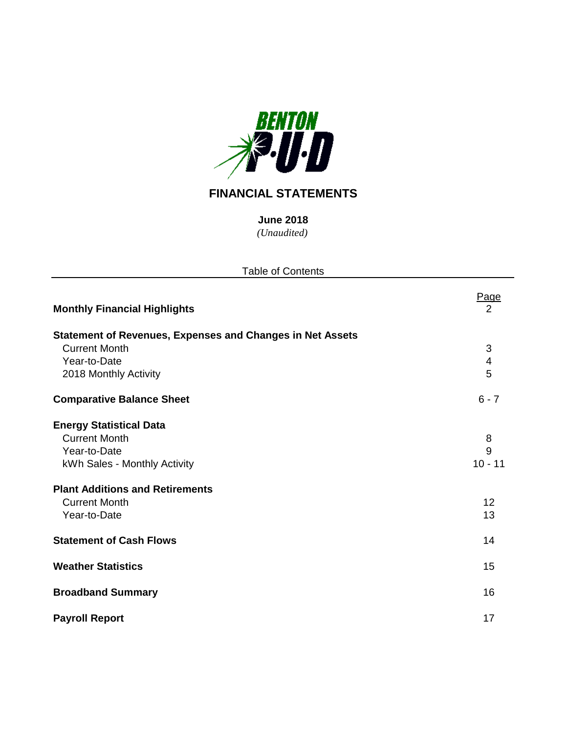

# **FINANCIAL STATEMENTS**

*(Unaudited)* **June 2018**

| <b>Table of Contents</b>                                         |           |
|------------------------------------------------------------------|-----------|
| <b>Monthly Financial Highlights</b>                              | Page<br>2 |
| <b>Statement of Revenues, Expenses and Changes in Net Assets</b> |           |
| <b>Current Month</b>                                             | 3         |
| Year-to-Date                                                     | 4         |
| 2018 Monthly Activity                                            | 5         |
| <b>Comparative Balance Sheet</b>                                 | $6 - 7$   |
| <b>Energy Statistical Data</b>                                   |           |
| <b>Current Month</b>                                             | 8         |
| Year-to-Date                                                     | 9         |
| kWh Sales - Monthly Activity                                     | $10 - 11$ |
| <b>Plant Additions and Retirements</b>                           |           |
| <b>Current Month</b>                                             | 12        |
| Year-to-Date                                                     | 13        |
| <b>Statement of Cash Flows</b>                                   | 14        |
| <b>Weather Statistics</b>                                        | 15        |
| <b>Broadband Summary</b>                                         | 16        |
| <b>Payroll Report</b>                                            | 17        |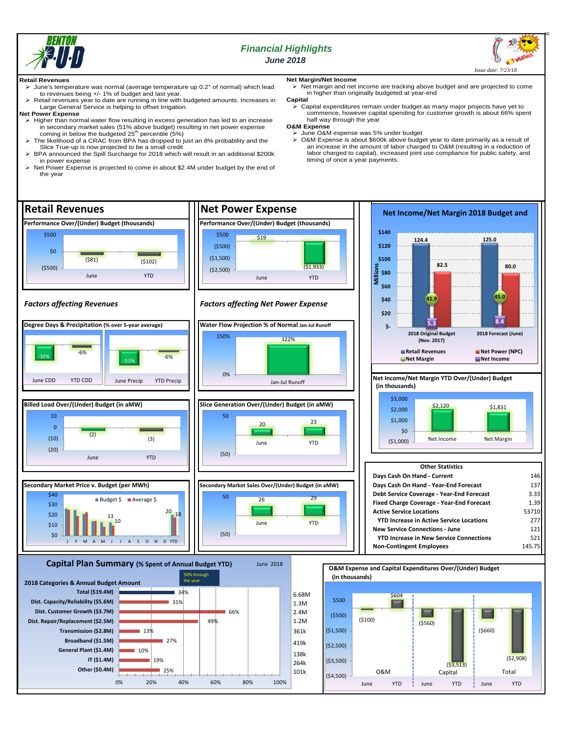

## *Financial Highlights June 2018*



#### **Retail Revenues**

- June's temperature was normal (average temperature up 0.2° of normal) which lead to revenues being +/- 1% of budget and last year.
- $\triangleright$  Retail revenues year to date are running in line with budgeted amounts. Increases in Large General Service is helping to offset Irrigation.

#### **Net Power Expense**

- > Higher than normal water flow resulting in excess generation has led to an increase in secondary market sales (51% above budget) resulting in net power expense<br>coming in below the budgeted 25<sup>th</sup> percentile (5%)
- The likelihood of a CRAC from BPA has dropped to just an 8% probability and the Slice True-up is now projected to be a small credit BPA announced the Spill Surcharge for 2018 which will result in an additional \$200k
- in power expense
- > Net Power Expense is projected to come in about \$2.4M under budget by the end of the year

## **Net Margin/Net Income**

 Net margin and net income are tracking above budget and are projected to come in higher than originally budgeted at year-end

### **Capital**

 Capital expenditures remain under budget as many major projects have yet to commence, however capital spending for customer growth is about 66% spent half way through the year

## **O&M Expense**

timing of once a year payments.

> June O&M expense was 5% under budget O&M Expense is about \$600k above budget year to date primarily as a result of an increase in the amount of labor charged to O&M (resulting in a reduction of labor charged to capital), increased joint use compliance for public safety, and

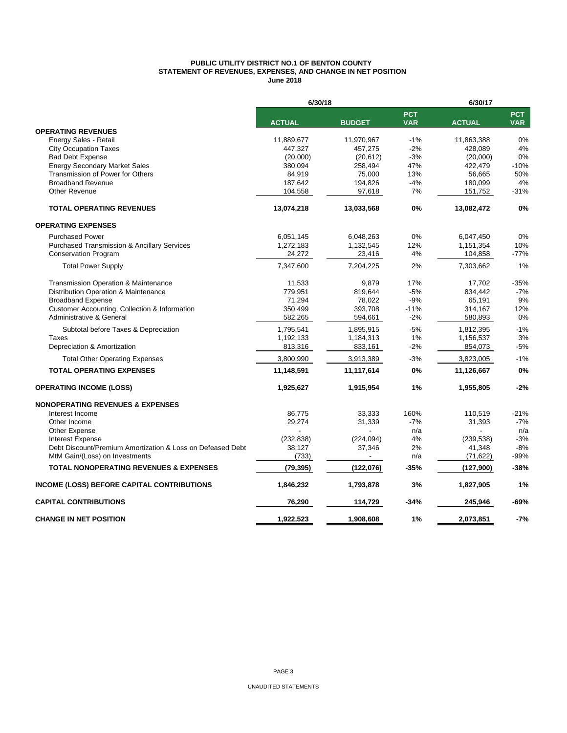#### **PUBLIC UTILITY DISTRICT NO.1 OF BENTON COUNTY STATEMENT OF REVENUES, EXPENSES, AND CHANGE IN NET POSITION June 2018**

|                                                            | 6/30/18       |               |                          | 6/30/17       |                          |  |  |
|------------------------------------------------------------|---------------|---------------|--------------------------|---------------|--------------------------|--|--|
|                                                            | <b>ACTUAL</b> | <b>BUDGET</b> | <b>PCT</b><br><b>VAR</b> | <b>ACTUAL</b> | <b>PCT</b><br><b>VAR</b> |  |  |
| <b>OPERATING REVENUES</b>                                  |               |               |                          |               |                          |  |  |
| Energy Sales - Retail                                      | 11,889,677    | 11,970,967    | $-1%$                    | 11,863,388    | 0%                       |  |  |
| <b>City Occupation Taxes</b>                               | 447,327       | 457,275       | $-2%$                    | 428,089       | 4%                       |  |  |
| <b>Bad Debt Expense</b>                                    | (20,000)      | (20, 612)     | $-3%$                    | (20,000)      | 0%                       |  |  |
| <b>Energy Secondary Market Sales</b>                       | 380,094       | 258,494       | 47%                      | 422,479       | $-10%$                   |  |  |
| Transmission of Power for Others                           | 84,919        | 75,000        | 13%                      | 56,665        | 50%                      |  |  |
| <b>Broadband Revenue</b>                                   | 187,642       | 194,826       | $-4%$                    | 180,099       | 4%                       |  |  |
| <b>Other Revenue</b>                                       | 104,558       | 97,618        | 7%                       | 151,752       | $-31%$                   |  |  |
| <b>TOTAL OPERATING REVENUES</b>                            | 13,074,218    | 13,033,568    | 0%                       | 13,082,472    | 0%                       |  |  |
| <b>OPERATING EXPENSES</b>                                  |               |               |                          |               |                          |  |  |
| <b>Purchased Power</b>                                     | 6,051,145     | 6,048,263     | 0%                       | 6,047,450     | 0%                       |  |  |
| <b>Purchased Transmission &amp; Ancillary Services</b>     | 1,272,183     | 1,132,545     | 12%                      | 1,151,354     | 10%                      |  |  |
| <b>Conservation Program</b>                                | 24,272        | 23,416        | 4%                       | 104,858       | $-77%$                   |  |  |
| <b>Total Power Supply</b>                                  | 7,347,600     | 7,204,225     | 2%                       | 7,303,662     | 1%                       |  |  |
| Transmission Operation & Maintenance                       | 11,533        | 9,879         | 17%                      | 17,702        | $-35%$                   |  |  |
| Distribution Operation & Maintenance                       | 779,951       | 819,644       | $-5%$                    | 834,442       | $-7%$                    |  |  |
| <b>Broadband Expense</b>                                   | 71,294        | 78,022        | $-9%$                    | 65,191        | 9%                       |  |  |
| Customer Accounting, Collection & Information              | 350,499       | 393,708       | $-11%$                   | 314,167       | 12%                      |  |  |
| Administrative & General                                   | 582,265       | 594,661       | $-2%$                    | 580,893       | 0%                       |  |  |
| Subtotal before Taxes & Depreciation                       | 1,795,541     | 1,895,915     | $-5%$                    | 1,812,395     | $-1%$                    |  |  |
| Taxes                                                      | 1,192,133     | 1,184,313     | 1%                       | 1,156,537     | 3%                       |  |  |
| Depreciation & Amortization                                | 813,316       | 833,161       | $-2%$                    | 854,073       | -5%                      |  |  |
| <b>Total Other Operating Expenses</b>                      | 3,800,990     | 3,913,389     | $-3%$                    | 3,823,005     | $-1%$                    |  |  |
| <b>TOTAL OPERATING EXPENSES</b>                            | 11,148,591    | 11,117,614    | 0%                       | 11,126,667    | 0%                       |  |  |
| <b>OPERATING INCOME (LOSS)</b>                             | 1,925,627     | 1,915,954     | 1%                       | 1,955,805     | $-2%$                    |  |  |
| <b>NONOPERATING REVENUES &amp; EXPENSES</b>                |               |               |                          |               |                          |  |  |
| Interest Income                                            | 86,775        | 33,333        | 160%                     | 110,519       | $-21%$                   |  |  |
| Other Income                                               | 29,274        | 31,339        | $-7%$                    | 31,393        | $-7%$                    |  |  |
| <b>Other Expense</b>                                       |               |               | n/a                      |               | n/a                      |  |  |
| <b>Interest Expense</b>                                    | (232, 838)    | (224, 094)    | 4%                       | (239, 538)    | $-3%$                    |  |  |
| Debt Discount/Premium Amortization & Loss on Defeased Debt | 38,127        | 37,346        | 2%                       | 41,348        | $-8%$                    |  |  |
| MtM Gain/(Loss) on Investments                             | (733)         |               | n/a                      | (71, 622)     | -99%                     |  |  |
| <b>TOTAL NONOPERATING REVENUES &amp; EXPENSES</b>          | (79, 395)     | (122,076)     | $-35%$                   | (127,900)     | $-38%$                   |  |  |
| INCOME (LOSS) BEFORE CAPITAL CONTRIBUTIONS                 | 1,846,232     | 1,793,878     | 3%                       | 1,827,905     | 1%                       |  |  |
| <b>CAPITAL CONTRIBUTIONS</b>                               | 76,290        | 114,729       | -34%                     | 245,946       | -69%                     |  |  |
| <b>CHANGE IN NET POSITION</b>                              | 1,922,523     | 1,908,608     | 1%                       | 2.073.851     | $-7%$                    |  |  |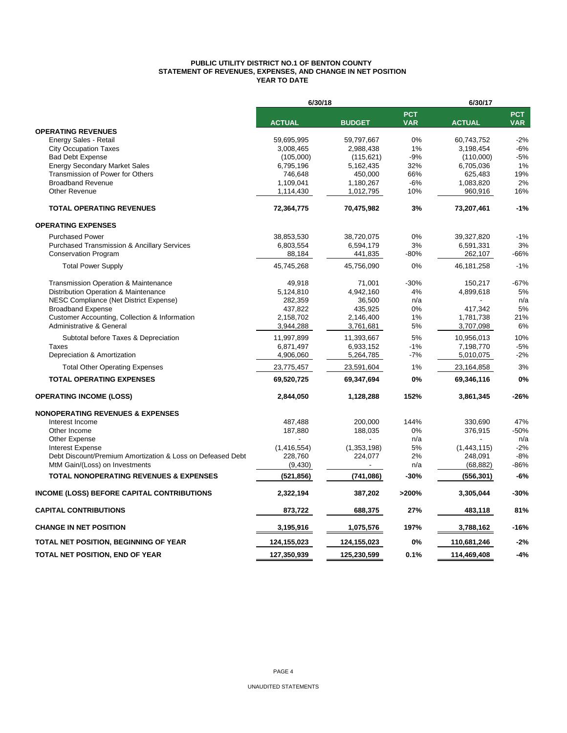#### **PUBLIC UTILITY DISTRICT NO.1 OF BENTON COUNTY STATEMENT OF REVENUES, EXPENSES, AND CHANGE IN NET POSITION YEAR TO DATE**

|                                                                                              | 6/30/18                |                        |                          | 6/30/17              |                          |  |  |
|----------------------------------------------------------------------------------------------|------------------------|------------------------|--------------------------|----------------------|--------------------------|--|--|
|                                                                                              | <b>ACTUAL</b>          | <b>BUDGET</b>          | <b>PCT</b><br><b>VAR</b> | <b>ACTUAL</b>        | <b>PCT</b><br><b>VAR</b> |  |  |
| <b>OPERATING REVENUES</b>                                                                    |                        |                        |                          |                      |                          |  |  |
| Energy Sales - Retail                                                                        | 59,695,995             | 59,797,667             | 0%                       | 60,743,752           | $-2%$                    |  |  |
| <b>City Occupation Taxes</b>                                                                 | 3,008,465              | 2,988,438              | 1%                       | 3,198,454            | $-6%$                    |  |  |
| <b>Bad Debt Expense</b>                                                                      | (105,000)              | (115, 621)             | $-9%$                    | (110,000)            | -5%                      |  |  |
| <b>Energy Secondary Market Sales</b>                                                         | 6,795,196              | 5,162,435              | 32%                      | 6,705,036            | 1%                       |  |  |
| Transmission of Power for Others                                                             | 746,648                | 450,000                | 66%                      | 625,483              | 19%                      |  |  |
| <b>Broadband Revenue</b><br>Other Revenue                                                    | 1,109,041<br>1,114,430 | 1,180,267<br>1,012,795 | $-6%$<br>10%             | 1,083,820<br>960,916 | 2%<br>16%                |  |  |
| <b>TOTAL OPERATING REVENUES</b>                                                              | 72,364,775             | 70,475,982             | 3%                       | 73,207,461           | $-1%$                    |  |  |
| <b>OPERATING EXPENSES</b>                                                                    |                        |                        |                          |                      |                          |  |  |
| <b>Purchased Power</b>                                                                       | 38,853,530             | 38,720,075             | 0%                       | 39,327,820           | $-1%$                    |  |  |
| <b>Purchased Transmission &amp; Ancillary Services</b>                                       | 6,803,554              | 6,594,179              | 3%                       | 6,591,331            | 3%                       |  |  |
| <b>Conservation Program</b>                                                                  | 88,184                 | 441,835                | -80%                     | 262,107              | $-66%$                   |  |  |
| <b>Total Power Supply</b>                                                                    | 45,745,268             | 45,756,090             | 0%                       | 46, 181, 258         | $-1%$                    |  |  |
| Transmission Operation & Maintenance                                                         | 49,918                 | 71,001                 | $-30%$                   | 150,217              | $-67%$                   |  |  |
| Distribution Operation & Maintenance                                                         | 5,124,810              | 4,942,160              | 4%                       | 4,899,618            | 5%                       |  |  |
| <b>NESC Compliance (Net District Expense)</b>                                                | 282,359                | 36,500                 | n/a                      |                      | n/a                      |  |  |
| <b>Broadband Expense</b>                                                                     | 437,822                | 435,925                | 0%                       | 417,342              | 5%                       |  |  |
| Customer Accounting, Collection & Information                                                | 2,158,702              | 2,146,400              | 1%                       | 1,781,738            | 21%                      |  |  |
| Administrative & General                                                                     | 3,944,288              | 3,761,681              | 5%                       | 3,707,098            | 6%                       |  |  |
| Subtotal before Taxes & Depreciation                                                         | 11,997,899             | 11,393,667             | 5%                       | 10,956,013           | 10%                      |  |  |
| Taxes                                                                                        | 6,871,497              | 6,933,152              | $-1%$                    | 7,198,770            | $-5%$                    |  |  |
| Depreciation & Amortization                                                                  | 4,906,060              | 5,264,785              | $-7%$                    | 5,010,075            | $-2%$                    |  |  |
| <b>Total Other Operating Expenses</b>                                                        | 23,775,457             | 23,591,604             | 1%                       | 23,164,858           | 3%                       |  |  |
| <b>TOTAL OPERATING EXPENSES</b>                                                              | 69,520,725             | 69,347,694             | 0%                       | 69,346,116           | 0%                       |  |  |
| <b>OPERATING INCOME (LOSS)</b>                                                               | 2,844,050              | 1,128,288              | 152%                     | 3,861,345            | $-26%$                   |  |  |
| <b>NONOPERATING REVENUES &amp; EXPENSES</b>                                                  |                        |                        |                          |                      |                          |  |  |
| Interest Income                                                                              | 487,488                | 200,000                | 144%                     | 330,690              | 47%                      |  |  |
| Other Income                                                                                 | 187,880                | 188,035                | 0%                       | 376,915              | $-50%$                   |  |  |
| Other Expense                                                                                |                        |                        | n/a                      |                      | n/a                      |  |  |
| <b>Interest Expense</b>                                                                      | (1, 416, 554)          | (1,353,198)            | 5%                       | (1,443,115)          | $-2%$                    |  |  |
| Debt Discount/Premium Amortization & Loss on Defeased Debt<br>MtM Gain/(Loss) on Investments | 228,760<br>(9,430)     | 224,077                | 2%<br>n/a                | 248,091<br>(68, 882) | $-8%$<br>-86%            |  |  |
| <b>TOTAL NONOPERATING REVENUES &amp; EXPENSES</b>                                            | (521, 856)             | (741,086)              | -30%                     | (556, 301)           | $-6%$                    |  |  |
| INCOME (LOSS) BEFORE CAPITAL CONTRIBUTIONS                                                   | 2,322,194              | 387,202                | >200%                    | 3,305,044            | $-30%$                   |  |  |
| <b>CAPITAL CONTRIBUTIONS</b>                                                                 | 873,722                | 688,375                | 27%                      | 483,118              | 81%                      |  |  |
| <b>CHANGE IN NET POSITION</b>                                                                | 3,195,916              | 1,075,576              | 197%                     | 3,788,162            | $-16%$                   |  |  |
| TOTAL NET POSITION, BEGINNING OF YEAR                                                        | 124,155,023            | 124,155,023            | 0%                       | 110,681,246          | $-2%$                    |  |  |
| TOTAL NET POSITION, END OF YEAR                                                              | 127,350,939            | 125,230,599            | 0.1%                     | 114,469,408          | $-4%$                    |  |  |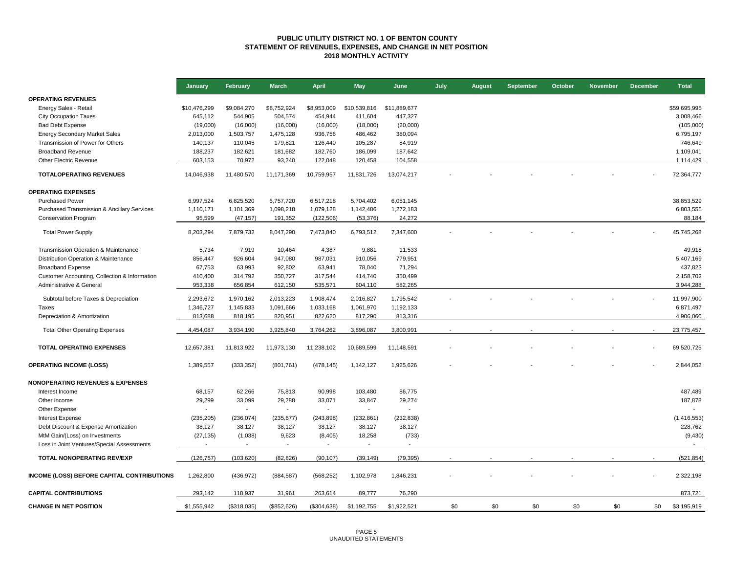#### **PUBLIC UTILITY DISTRICT NO. 1 OF BENTON COUNTY STATEMENT OF REVENUES, EXPENSES, AND CHANGE IN NET POSITION 2018 MONTHLY ACTIVITY**

|                                                   | January      | February    | <b>March</b>             | <b>April</b>             | <b>May</b>     | June           | July | <b>August</b> | September | October | <b>November</b> | <b>December</b> | <b>Total</b> |
|---------------------------------------------------|--------------|-------------|--------------------------|--------------------------|----------------|----------------|------|---------------|-----------|---------|-----------------|-----------------|--------------|
| <b>OPERATING REVENUES</b>                         |              |             |                          |                          |                |                |      |               |           |         |                 |                 |              |
| Energy Sales - Retail                             | \$10,476,299 | \$9,084,270 | \$8,752,924              | \$8,953,009              | \$10,539,816   | \$11,889,677   |      |               |           |         |                 |                 | \$59,695,995 |
| <b>City Occupation Taxes</b>                      | 645,112      | 544,905     | 504,574                  | 454,944                  | 411,604        | 447,327        |      |               |           |         |                 |                 | 3,008,466    |
| <b>Bad Debt Expense</b>                           | (19,000)     | (16,000)    | (16,000)                 | (16,000)                 | (18,000)       | (20,000)       |      |               |           |         |                 |                 | (105,000)    |
| <b>Energy Secondary Market Sales</b>              | 2,013,000    | 1,503,757   | 1,475,128                | 936,756                  | 486,462        | 380,094        |      |               |           |         |                 |                 | 6,795,197    |
| Transmission of Power for Others                  | 140,137      | 110,045     | 179,821                  | 126,440                  | 105,287        | 84,919         |      |               |           |         |                 |                 | 746,649      |
| <b>Broadband Revenue</b>                          | 188,237      | 182,621     | 181,682                  | 182,760                  | 186,099        | 187,642        |      |               |           |         |                 |                 | 1,109,041    |
| Other Electric Revenue                            | 603,153      | 70,972      | 93,240                   | 122,048                  | 120,458        | 104,558        |      |               |           |         |                 |                 | 1,114,429    |
| <b>TOTALOPERATING REVENUES</b>                    | 14,046,938   | 11,480,570  | 11,171,369               | 10,759,957               | 11,831,726     | 13,074,217     |      |               |           |         |                 |                 | 72,364,777   |
|                                                   |              |             |                          |                          |                |                |      |               |           |         |                 |                 |              |
| <b>OPERATING EXPENSES</b>                         |              |             |                          |                          |                |                |      |               |           |         |                 |                 |              |
| <b>Purchased Power</b>                            | 6,997,524    | 6,825,520   | 6,757,720                | 6,517,218                | 5,704,402      | 6,051,145      |      |               |           |         |                 |                 | 38,853,529   |
| Purchased Transmission & Ancillary Services       | 1,110,171    | 1,101,369   | 1,098,218                | 1,079,128                | 1,142,486      | 1,272,183      |      |               |           |         |                 |                 | 6,803,555    |
| <b>Conservation Program</b>                       | 95,599       | (47, 157)   | 191,352                  | (122, 506)               | (53, 376)      | 24,272         |      |               |           |         |                 |                 | 88,184       |
| <b>Total Power Supply</b>                         | 8,203,294    | 7,879,732   | 8,047,290                | 7,473,840                | 6,793,512      | 7,347,600      |      |               |           |         |                 |                 | 45,745,268   |
|                                                   |              |             |                          |                          |                |                |      |               |           |         |                 |                 |              |
| Transmission Operation & Maintenance              | 5,734        | 7,919       | 10,464                   | 4,387                    | 9,881          | 11,533         |      |               |           |         |                 |                 | 49,918       |
| Distribution Operation & Maintenance              | 856,447      | 926,604     | 947,080                  | 987,031                  | 910,056        | 779,951        |      |               |           |         |                 |                 | 5,407,169    |
| <b>Broadband Expense</b>                          | 67,753       | 63,993      | 92,802                   | 63,941                   | 78,040         | 71,294         |      |               |           |         |                 |                 | 437,823      |
| Customer Accounting, Collection & Information     | 410,400      | 314,792     | 350,727                  | 317,544                  | 414,740        | 350,499        |      |               |           |         |                 |                 | 2,158,702    |
| Administrative & General                          | 953,338      | 656,854     | 612,150                  | 535,571                  | 604,110        | 582,265        |      |               |           |         |                 |                 | 3,944,288    |
| Subtotal before Taxes & Depreciation              | 2,293,672    | 1,970,162   | 2,013,223                | 1,908,474                | 2,016,827      | 1,795,542      |      |               |           |         |                 |                 | 11,997,900   |
| Taxes                                             | 1,346,727    | 1,145,833   | 1,091,666                | 1,033,168                | 1,061,970      | 1,192,133      |      |               |           |         |                 |                 | 6,871,497    |
| Depreciation & Amortization                       | 813,688      | 818,195     | 820,951                  | 822,620                  | 817,290        | 813,316        |      |               |           |         |                 |                 | 4,906,060    |
| <b>Total Other Operating Expenses</b>             | 4,454,087    | 3,934,190   | 3,925,840                | 3,764,262                | 3,896,087      | 3,800,991      |      |               |           |         |                 |                 | 23,775,457   |
|                                                   |              |             |                          |                          |                |                |      |               |           |         |                 |                 |              |
| <b>TOTAL OPERATING EXPENSES</b>                   | 12,657,381   | 11,813,922  | 11,973,130               | 11,238,102               | 10,689,599     | 11,148,591     |      |               |           |         |                 |                 | 69,520,725   |
| <b>OPERATING INCOME (LOSS)</b>                    | 1,389,557    | (333, 352)  | (801, 761)               | (478, 145)               | 1,142,127      | 1,925,626      |      |               |           |         |                 |                 | 2,844,052    |
| <b>NONOPERATING REVENUES &amp; EXPENSES</b>       |              |             |                          |                          |                |                |      |               |           |         |                 |                 |              |
| Interest Income                                   | 68,157       | 62,266      | 75,813                   | 90,998                   | 103,480        | 86,775         |      |               |           |         |                 |                 | 487,489      |
| Other Income                                      | 29,299       | 33,099      | 29,288                   | 33,071                   | 33,847         | 29,274         |      |               |           |         |                 |                 | 187,878      |
| Other Expense                                     |              |             | $\overline{\phantom{a}}$ | $\sim$                   | $\blacksquare$ | $\overline{a}$ |      |               |           |         |                 |                 |              |
| <b>Interest Expense</b>                           | (235, 205)   | (236, 074)  | (235, 677)               | (243, 898)               | (232, 861)     | (232, 838)     |      |               |           |         |                 |                 | (1,416,553)  |
| Debt Discount & Expense Amortization              | 38,127       | 38,127      | 38,127                   | 38,127                   | 38,127         | 38,127         |      |               |           |         |                 |                 | 228,762      |
| MtM Gain/(Loss) on Investments                    | (27, 135)    | (1,038)     | 9,623                    | (8, 405)                 | 18,258         | (733)          |      |               |           |         |                 |                 | (9,430)      |
| Loss in Joint Ventures/Special Assessments        |              |             |                          | $\overline{\phantom{a}}$ |                | ÷              |      |               |           |         |                 |                 |              |
| TOTAL NONOPERATING REV/EXP                        | (126, 757)   | (103, 620)  | (82, 826)                | (90, 107)                | (39, 149)      | (79, 395)      |      |               |           |         |                 |                 | (521, 854)   |
|                                                   |              |             |                          |                          |                |                |      |               |           |         |                 |                 |              |
| <b>INCOME (LOSS) BEFORE CAPITAL CONTRIBUTIONS</b> | 1,262,800    | (436, 972)  | (884, 587)               | (568, 252)               | 1,102,978      | 1,846,231      |      |               |           |         |                 |                 | 2,322,198    |
| <b>CAPITAL CONTRIBUTIONS</b>                      | 293.142      | 118,937     | 31,961                   | 263,614                  | 89.777         | 76,290         |      |               |           |         |                 |                 | 873,721      |
| <b>CHANGE IN NET POSITION</b>                     | \$1,555,942  | (\$318,035) | (\$852,626)              | (\$304,638)              | \$1,192,755    | \$1,922,521    | \$0  | \$0           | \$0       | \$0     | \$0             | \$0             | \$3,195,919  |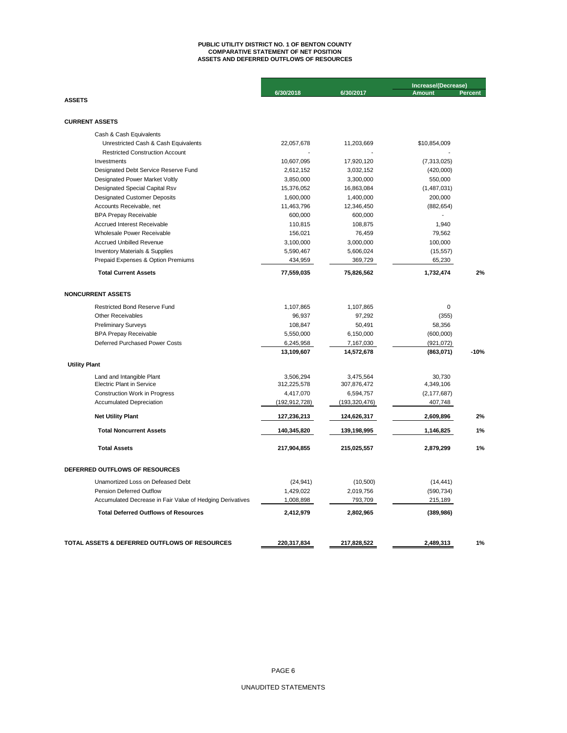## **ASSETS AND DEFERRED OUTFLOWS OF RESOURCES PUBLIC UTILITY DISTRICT NO. 1 OF BENTON COUNTY COMPARATIVE STATEMENT OF NET POSITION**

|                                                           |                 |                 | Increase/(Decrease) |         |  |
|-----------------------------------------------------------|-----------------|-----------------|---------------------|---------|--|
|                                                           | 6/30/2018       | 6/30/2017       | <b>Amount</b>       | Percent |  |
| <b>ASSETS</b>                                             |                 |                 |                     |         |  |
| <b>CURRENT ASSETS</b>                                     |                 |                 |                     |         |  |
| Cash & Cash Equivalents                                   |                 |                 |                     |         |  |
| Unrestricted Cash & Cash Equivalents                      | 22,057,678      | 11,203,669      | \$10,854,009        |         |  |
| <b>Restricted Construction Account</b>                    |                 |                 |                     |         |  |
| Investments                                               | 10,607,095      | 17,920,120      | (7,313,025)         |         |  |
| Designated Debt Service Reserve Fund                      | 2,612,152       | 3,032,152       | (420,000)           |         |  |
| Designated Power Market Voltly                            | 3,850,000       | 3,300,000       | 550,000             |         |  |
| <b>Designated Special Capital Rsv</b>                     | 15,376,052      | 16,863,084      | (1,487,031)         |         |  |
| <b>Designated Customer Deposits</b>                       | 1,600,000       | 1,400,000       | 200,000             |         |  |
| Accounts Receivable, net                                  | 11,463,796      | 12,346,450      | (882, 654)          |         |  |
| <b>BPA Prepay Receivable</b>                              | 600,000         | 600,000         |                     |         |  |
| <b>Accrued Interest Receivable</b>                        | 110,815         | 108,875         | 1,940               |         |  |
| Wholesale Power Receivable                                | 156,021         | 76,459          | 79,562              |         |  |
| <b>Accrued Unbilled Revenue</b>                           | 3,100,000       | 3,000,000       | 100,000             |         |  |
| <b>Inventory Materials &amp; Supplies</b>                 | 5,590,467       | 5,606,024       | (15, 557)           |         |  |
| Prepaid Expenses & Option Premiums                        | 434,959         | 369,729         | 65,230              |         |  |
| <b>Total Current Assets</b>                               | 77,559,035      | 75,826,562      | 1,732,474           | 2%      |  |
| <b>NONCURRENT ASSETS</b>                                  |                 |                 |                     |         |  |
| <b>Restricted Bond Reserve Fund</b>                       | 1,107,865       | 1,107,865       | 0                   |         |  |
| <b>Other Receivables</b>                                  | 96,937          | 97,292          | (355)               |         |  |
| <b>Preliminary Surveys</b>                                | 108,847         | 50,491          | 58,356              |         |  |
| <b>BPA Prepay Receivable</b>                              | 5,550,000       | 6,150,000       | (600,000)           |         |  |
| Deferred Purchased Power Costs                            | 6,245,958       | 7,167,030       | (921, 072)          |         |  |
|                                                           | 13,109,607      | 14,572,678      | (863,071)           | $-10%$  |  |
| <b>Utility Plant</b>                                      |                 |                 |                     |         |  |
| Land and Intangible Plant                                 | 3,506,294       | 3,475,564       | 30,730              |         |  |
| <b>Electric Plant in Service</b>                          | 312,225,578     | 307,876,472     | 4,349,106           |         |  |
| <b>Construction Work in Progress</b>                      | 4,417,070       | 6,594,757       | (2, 177, 687)       |         |  |
| <b>Accumulated Depreciation</b>                           | (192, 912, 728) | (193, 320, 476) | 407,748             |         |  |
| <b>Net Utility Plant</b>                                  | 127,236,213     | 124,626,317     | 2,609,896           | 2%      |  |
| <b>Total Noncurrent Assets</b>                            | 140,345,820     | 139,198,995     | 1,146,825           | 1%      |  |
| <b>Total Assets</b>                                       | 217,904,855     | 215,025,557     | 2,879,299           | 1%      |  |
| DEFERRED OUTFLOWS OF RESOURCES                            |                 |                 |                     |         |  |
| Unamortized Loss on Defeased Debt                         | (24, 941)       | (10, 500)       | (14, 441)           |         |  |
| <b>Pension Deferred Outflow</b>                           | 1,429,022       | 2,019,756       | (590, 734)          |         |  |
| Accumulated Decrease in Fair Value of Hedging Derivatives | 1,008,898       | 793,709         | 215,189             |         |  |
| <b>Total Deferred Outflows of Resources</b>               | 2,412,979       | 2,802,965       | (389, 986)          |         |  |
|                                                           |                 |                 |                     |         |  |
| TOTAL ASSETS & DEFERRED OUTFLOWS OF RESOURCES             | 220,317,834     | 217,828,522     | 2,489,313           | 1%      |  |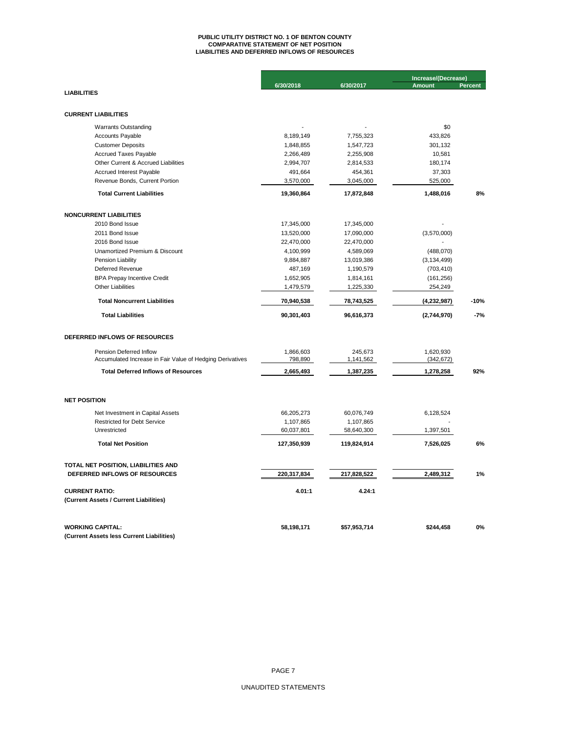# **PUBLIC UTILITY DISTRICT NO. 1 OF BENTON COUNTY COMPARATIVE STATEMENT OF NET POSITION LIABILITIES AND DEFERRED INFLOWS OF RESOURCES**

|                                                           |             |              | Increase/(Decrease) |                |  |
|-----------------------------------------------------------|-------------|--------------|---------------------|----------------|--|
|                                                           | 6/30/2018   | 6/30/2017    | <b>Amount</b>       | <b>Percent</b> |  |
| <b>LIABILITIES</b>                                        |             |              |                     |                |  |
|                                                           |             |              |                     |                |  |
| <b>CURRENT LIABILITIES</b>                                |             |              |                     |                |  |
| <b>Warrants Outstanding</b>                               |             |              | \$0                 |                |  |
| <b>Accounts Payable</b>                                   | 8,189,149   | 7,755,323    | 433,826             |                |  |
| <b>Customer Deposits</b>                                  | 1,848,855   | 1,547,723    | 301,132             |                |  |
| <b>Accrued Taxes Payable</b>                              | 2,266,489   | 2,255,908    | 10,581              |                |  |
| Other Current & Accrued Liabilities                       | 2,994,707   | 2,814,533    | 180,174             |                |  |
| Accrued Interest Payable                                  | 491,664     | 454,361      | 37,303              |                |  |
| Revenue Bonds, Current Portion                            | 3,570,000   | 3,045,000    | 525,000             |                |  |
| <b>Total Current Liabilities</b>                          | 19,360,864  | 17,872,848   | 1,488,016           | 8%             |  |
| <b>NONCURRENT LIABILITIES</b>                             |             |              |                     |                |  |
| 2010 Bond Issue                                           | 17,345,000  | 17,345,000   |                     |                |  |
| 2011 Bond Issue                                           | 13,520,000  | 17,090,000   | (3,570,000)         |                |  |
| 2016 Bond Issue                                           | 22,470,000  | 22,470,000   |                     |                |  |
| Unamortized Premium & Discount                            | 4,100,999   | 4,589,069    | (488,070)           |                |  |
| Pension Liability                                         | 9,884,887   | 13,019,386   | (3, 134, 499)       |                |  |
| <b>Deferred Revenue</b>                                   | 487,169     | 1,190,579    | (703, 410)          |                |  |
| <b>BPA Prepay Incentive Credit</b>                        | 1,652,905   | 1,814,161    | (161, 256)          |                |  |
| <b>Other Liabilities</b>                                  | 1,479,579   | 1,225,330    | 254,249             |                |  |
|                                                           |             |              |                     |                |  |
| <b>Total Noncurrent Liabilities</b>                       | 70,940,538  | 78,743,525   | (4, 232, 987)       | $-10%$         |  |
| <b>Total Liabilities</b>                                  | 90,301,403  | 96,616,373   | (2,744,970)         | $-7%$          |  |
| DEFERRED INFLOWS OF RESOURCES                             |             |              |                     |                |  |
| Pension Deferred Inflow                                   | 1,866,603   | 245,673      | 1,620,930           |                |  |
| Accumulated Increase in Fair Value of Hedging Derivatives | 798,890     | 1,141,562    | (342, 672)          |                |  |
| <b>Total Deferred Inflows of Resources</b>                | 2,665,493   | 1,387,235    | 1,278,258           | 92%            |  |
|                                                           |             |              |                     |                |  |
| <b>NET POSITION</b>                                       |             |              |                     |                |  |
| Net Investment in Capital Assets                          | 66,205,273  | 60,076,749   | 6,128,524           |                |  |
| <b>Restricted for Debt Service</b>                        | 1,107,865   | 1,107,865    |                     |                |  |
| Unrestricted                                              | 60,037,801  | 58,640,300   | 1,397,501           |                |  |
| <b>Total Net Position</b>                                 | 127,350,939 | 119,824,914  | 7,526,025           | 6%             |  |
| TOTAL NET POSITION, LIABILITIES AND                       |             |              |                     |                |  |
| DEFERRED INFLOWS OF RESOURCES                             | 220,317,834 | 217,828,522  | 2,489,312           | 1%             |  |
| <b>CURRENT RATIO:</b>                                     | 4.01:1      | 4.24:1       |                     |                |  |
| (Current Assets / Current Liabilities)                    |             |              |                     |                |  |
| <b>WORKING CAPITAL:</b>                                   | 58,198,171  | \$57,953,714 | \$244,458           | 0%             |  |
| (Current Assets less Current Liabilities)                 |             |              |                     |                |  |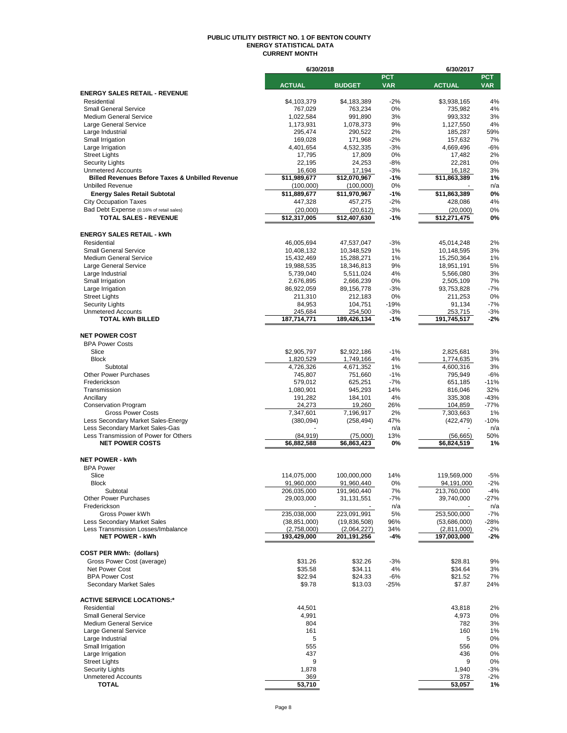#### **PUBLIC UTILITY DISTRICT NO. 1 OF BENTON COUNTY ENERGY STATISTICAL DATA CURRENT MONTH**

|                                                                          | 6/30/2018                |                           |                          | 6/30/2017                |                          |  |  |
|--------------------------------------------------------------------------|--------------------------|---------------------------|--------------------------|--------------------------|--------------------------|--|--|
|                                                                          | <b>ACTUAL</b>            | <b>BUDGET</b>             | <b>PCT</b><br><b>VAR</b> | <b>ACTUAL</b>            | <b>PCT</b><br><b>VAR</b> |  |  |
| <b>ENERGY SALES RETAIL - REVENUE</b>                                     |                          |                           |                          |                          |                          |  |  |
| Residential                                                              | \$4,103,379              | \$4,183,389               | $-2%$                    | \$3.938.165              | 4%                       |  |  |
| <b>Small General Service</b>                                             | 767,029                  | 763,234                   | 0%                       | 735,982                  | 4%                       |  |  |
| <b>Medium General Service</b>                                            | 1,022,584                | 991,890                   | 3%                       | 993,332                  | 3%                       |  |  |
| Large General Service                                                    | 1,173,931                | 1,078,373                 | 9%                       | 1,127,550                | 4%                       |  |  |
| Large Industrial                                                         | 295,474                  | 290,522                   | 2%                       | 185,287                  | 59%                      |  |  |
| Small Irrigation<br>Large Irrigation                                     | 169,028<br>4,401,654     | 171,968<br>4,532,335      | $-2%$<br>$-3%$           | 157,632<br>4,669,496     | 7%<br>$-6%$              |  |  |
| <b>Street Lights</b>                                                     | 17,795                   | 17,809                    | 0%                       | 17,482                   | 2%                       |  |  |
| <b>Security Lights</b>                                                   | 22,195                   | 24,253                    | $-8%$                    | 22,281                   | 0%                       |  |  |
| <b>Unmetered Accounts</b>                                                | 16,608                   | 17,194                    | $-3%$                    | 16,182                   | 3%                       |  |  |
| <b>Billed Revenues Before Taxes &amp; Unbilled Revenue</b>               | \$11,989,677             | \$12,070,967              | $-1%$                    | \$11,863,389             | 1%                       |  |  |
| <b>Unbilled Revenue</b>                                                  | (100,000)                | (100,000)                 | 0%                       |                          | n/a                      |  |  |
| <b>Energy Sales Retail Subtotal</b>                                      | \$11,889,677             | \$11,970,967              | -1%                      | \$11,863,389             | 0%                       |  |  |
| <b>City Occupation Taxes</b>                                             | 447,328                  | 457,275                   | $-2%$                    | 428,086                  | 4%                       |  |  |
| Bad Debt Expense (0.16% of retail sales)<br><b>TOTAL SALES - REVENUE</b> | (20,000)<br>\$12,317,005 | (20, 612)<br>\$12,407,630 | $-3%$<br>$-1%$           | (20,000)<br>\$12,271,475 | 0%<br>0%                 |  |  |
|                                                                          |                          |                           |                          |                          |                          |  |  |
| <b>ENERGY SALES RETAIL - kWh</b>                                         |                          |                           |                          |                          |                          |  |  |
| Residential                                                              | 46,005,694               | 47,537,047                | $-3%$                    | 45,014,248               | 2%                       |  |  |
| <b>Small General Service</b>                                             | 10,408,132               | 10,348,529                | 1%                       | 10,148,595               | 3%                       |  |  |
| <b>Medium General Service</b>                                            | 15,432,469               | 15,288,271                | 1%                       | 15,250,364               | 1%                       |  |  |
| Large General Service                                                    | 19,988,535               | 18,346,813                | 9%                       | 18,951,191               | 5%                       |  |  |
| Large Industrial                                                         | 5,739,040                | 5,511,024                 | 4%                       | 5,566,080                | 3%                       |  |  |
| Small Irrigation                                                         | 2,676,895                | 2,666,239                 | 0%                       | 2,505,109                | 7%                       |  |  |
| Large Irrigation                                                         | 86,922,059               | 89,156,778                | $-3%$                    | 93,753,828               | $-7%$                    |  |  |
| <b>Street Lights</b><br><b>Security Lights</b>                           | 211,310<br>84,953        | 212,183                   | 0%<br>$-19%$             | 211,253<br>91,134        | 0%<br>$-7%$              |  |  |
| <b>Unmetered Accounts</b>                                                | 245,684                  | 104,751<br>254,500        | $-3%$                    | 253,715                  | $-3%$                    |  |  |
| <b>TOTAL kWh BILLED</b>                                                  | 187,714,771              | 189,426,134               | $-1%$                    | 191,745,517              | $-2%$                    |  |  |
|                                                                          |                          |                           |                          |                          |                          |  |  |
| <b>NET POWER COST</b>                                                    |                          |                           |                          |                          |                          |  |  |
| <b>BPA Power Costs</b>                                                   |                          |                           |                          |                          |                          |  |  |
| Slice                                                                    | \$2,905,797              | \$2,922,186               | $-1%$                    | 2,825,681                | 3%                       |  |  |
| <b>Block</b>                                                             | 1,820,529                | 1,749,166                 | 4%                       | 1,774,635                | 3%                       |  |  |
| Subtotal<br><b>Other Power Purchases</b>                                 | 4,726,326<br>745,807     | 4,671,352<br>751,660      | 1%<br>$-1%$              | 4,600,316<br>795,949     | 3%<br>$-6%$              |  |  |
| Frederickson                                                             | 579,012                  | 625,251                   | $-7%$                    | 651,185                  | $-11%$                   |  |  |
| Transmission                                                             | 1,080,901                | 945,293                   | 14%                      | 816,046                  | 32%                      |  |  |
| Ancillary                                                                | 191,282                  | 184,101                   | 4%                       | 335,308                  | $-43%$                   |  |  |
| <b>Conservation Program</b>                                              | 24,273                   | 19,260                    | 26%                      | 104,859                  | $-77%$                   |  |  |
| <b>Gross Power Costs</b>                                                 | 7,347,601                | 7,196,917                 | 2%                       | 7,303,663                | 1%                       |  |  |
| Less Secondary Market Sales-Energy                                       | (380,094)                | (258, 494)                | 47%                      | (422,479)                | $-10%$                   |  |  |
| Less Secondary Market Sales-Gas                                          |                          |                           | n/a                      |                          | n/a<br>50%               |  |  |
| Less Transmission of Power for Others<br><b>NET POWER COSTS</b>          | (84, 919)<br>\$6,882,588 | (75,000)<br>\$6,863,423   | 13%<br>0%                | (56, 665)<br>\$6,824,519 | 1%                       |  |  |
|                                                                          |                          |                           |                          |                          |                          |  |  |
| <b>NET POWER - kWh</b>                                                   |                          |                           |                          |                          |                          |  |  |
| <b>BPA Power</b>                                                         |                          |                           |                          |                          |                          |  |  |
| Slice                                                                    | 114,075,000              | 100,000,000               | 14%                      | 119,569,000              | $-5%$                    |  |  |
| <b>Block</b>                                                             | 91,960,000               | 91,960,440                | 0%                       | 94,191,000               | $-2%$                    |  |  |
| Subtotal                                                                 | 206,035,000              | 191,960,440               | 7%                       | 213,760,000              | $-4%$                    |  |  |
| <b>Other Power Purchases</b>                                             | 29,003,000               | 31, 131, 551              | -7%                      | 39,740,000               | -27%                     |  |  |
| Frederickson<br>Gross Power kWh                                          | 235,038,000              | 223,091,991               | n/a<br>5%                | 253,500,000              | n/a<br>$-7%$             |  |  |
| <b>Less Secondary Market Sales</b>                                       | (38, 851, 000)           | (19,836,508)              | 96%                      | (53,686,000)             | -28%                     |  |  |
| Less Transmission Losses/Imbalance                                       | (2,758,000)              | (2,064,227)               | 34%                      | (2,811,000)              | $-2%$                    |  |  |
| <b>NET POWER - kWh</b>                                                   | 193,429,000              | 201,191,256               | -4%                      | 197.003.000              | $-2%$                    |  |  |
|                                                                          |                          |                           |                          |                          |                          |  |  |
| <b>COST PER MWh: (dollars)</b>                                           |                          |                           |                          |                          |                          |  |  |
| Gross Power Cost (average)                                               | \$31.26                  | \$32.26                   | $-3%$                    | \$28.81                  | 9%                       |  |  |
| Net Power Cost                                                           | \$35.58                  | \$34.11                   | 4%                       | \$34.64                  | 3%                       |  |  |
| <b>BPA Power Cost</b><br><b>Secondary Market Sales</b>                   | \$22.94<br>\$9.78        | \$24.33<br>\$13.03        | $-6%$<br>$-25%$          | \$21.52<br>\$7.87        | 7%                       |  |  |
|                                                                          |                          |                           |                          |                          | 24%                      |  |  |
| <b>ACTIVE SERVICE LOCATIONS:*</b>                                        |                          |                           |                          |                          |                          |  |  |
| Residential                                                              | 44,501                   |                           |                          | 43,818                   | 2%                       |  |  |
| <b>Small General Service</b>                                             | 4,991                    |                           |                          | 4,973                    | 0%                       |  |  |
| <b>Medium General Service</b>                                            | 804                      |                           |                          | 782                      | 3%                       |  |  |
| Large General Service                                                    | 161                      |                           |                          | 160                      | 1%                       |  |  |
| Large Industrial                                                         | 5                        |                           |                          | 5                        | 0%                       |  |  |
| Small Irrigation                                                         | 555                      |                           |                          | 556                      | 0%                       |  |  |
| Large Irrigation<br><b>Street Lights</b>                                 | 437<br>9                 |                           |                          | 436<br>9                 | 0%<br>0%                 |  |  |
| <b>Security Lights</b>                                                   | 1,878                    |                           |                          | 1,940                    | -3%                      |  |  |
| <b>Unmetered Accounts</b>                                                | 369                      |                           |                          | 378                      | $-2%$                    |  |  |
| TOTAL                                                                    | 53,710                   |                           |                          | 53,057                   | 1%                       |  |  |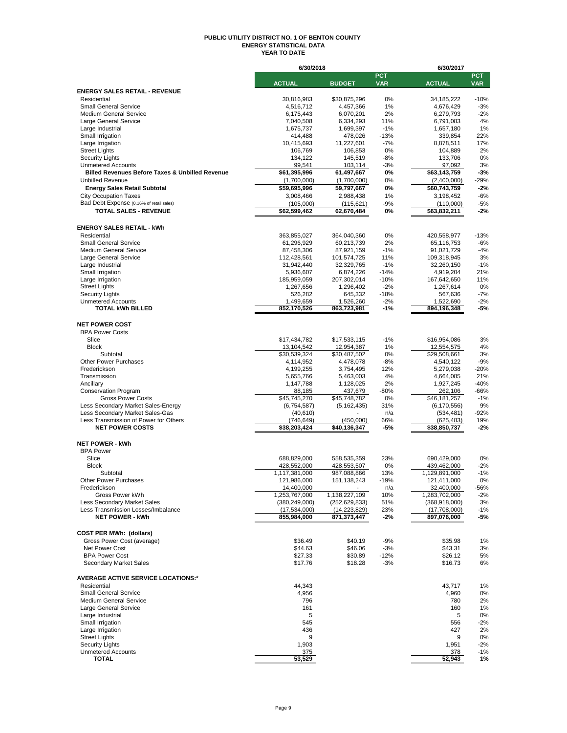#### **PUBLIC UTILITY DISTRICT NO. 1 OF BENTON COUNTY ENERGY STATISTICAL DATA YEAR TO DATE**

|                                                            | 6/30/2018                 |                      |                 | 6/30/2017                 |                  |  |
|------------------------------------------------------------|---------------------------|----------------------|-----------------|---------------------------|------------------|--|
|                                                            |                           |                      | <b>PCT</b>      |                           | <b>PCT</b>       |  |
|                                                            | <b>ACTUAL</b>             | <b>BUDGET</b>        | <b>VAR</b>      | <b>ACTUAL</b>             | <b>VAR</b>       |  |
| <b>ENERGY SALES RETAIL - REVENUE</b><br>Residential        | 30,816,983                | \$30,875,296         | 0%              | 34,185,222                | $-10%$           |  |
| <b>Small General Service</b>                               | 4,516,712                 | 4,457,366            | 1%              | 4,676,429                 | $-3%$            |  |
| <b>Medium General Service</b>                              | 6,175,443                 | 6,070,201            | 2%              | 6,279,793                 | $-2%$            |  |
| Large General Service                                      | 7,040,508                 | 6,334,293            | 11%             | 6,791,083                 | 4%               |  |
| Large Industrial                                           | 1,675,737                 | 1,699,397            | $-1%$           | 1,657,180                 | 1%               |  |
| Small Irrigation                                           | 414,488                   | 478,026              | $-13%$          | 339,854                   | 22%              |  |
| Large Irrigation                                           | 10,415,693                | 11,227,601           | $-7%$           | 8,878,511                 | 17%              |  |
| <b>Street Lights</b>                                       | 106,769                   | 106,853              | 0%              | 104,889                   | 2%               |  |
| <b>Security Lights</b><br><b>Unmetered Accounts</b>        | 134,122<br>99,541         | 145,519<br>103,114   | $-8%$<br>$-3%$  | 133,706<br>97,092         | 0%<br>3%         |  |
| <b>Billed Revenues Before Taxes &amp; Unbilled Revenue</b> | \$61,395,996              | 61,497,667           | 0%              | \$63,143,759              | $-3%$            |  |
| <b>Unbilled Revenue</b>                                    | (1,700,000)               | (1,700,000)          | 0%              | (2,400,000)               | $-29%$           |  |
| <b>Energy Sales Retail Subtotal</b>                        | \$59,695,996              | 59,797,667           | 0%              | \$60,743,759              | $-2%$            |  |
| <b>City Occupation Taxes</b>                               | 3,008,466                 | 2,988,438            | 1%              | 3,198,452                 | $-6%$            |  |
| Bad Debt Expense (0.16% of retail sales)                   | (105,000)                 | (115, 621)           | -9%             | (110,000)                 | $-5%$            |  |
| <b>TOTAL SALES - REVENUE</b>                               | \$62,599,462              | 62,670,484           | 0%              | \$63,832,211              | $-2%$            |  |
|                                                            |                           |                      |                 |                           |                  |  |
| <b>ENERGY SALES RETAIL - kWh</b>                           |                           |                      |                 |                           |                  |  |
| Residential                                                | 363,855,027               | 364,040,360          | 0%              | 420,558,977               | $-13%$           |  |
| <b>Small General Service</b>                               | 61,296,929                | 60,213,739           | 2%              | 65,116,753                | $-6%$            |  |
| <b>Medium General Service</b>                              | 87,458,306                | 87,921,159           | $-1%$           | 91,021,729                | $-4%$            |  |
| Large General Service                                      | 112,428,561               | 101,574,725          | 11%             | 109,318,945               | 3%               |  |
| Large Industrial                                           | 31,942,440                | 32,329,765           | $-1%$           | 32,260,150                | $-1%$            |  |
| Small Irrigation                                           | 5,936,607                 | 6,874,226            | $-14%$          | 4,919,204                 | 21%              |  |
| Large Irrigation                                           | 185,959,059               | 207,302,014          | $-10%$          | 167,642,650               | 11%              |  |
| <b>Street Lights</b><br><b>Security Lights</b>             | 1,267,656<br>526,282      | 1,296,402<br>645,332 | $-2%$<br>$-18%$ | 1,267,614                 | 0%<br>$-7%$      |  |
| <b>Unmetered Accounts</b>                                  | 1,499,659                 | 1,526,260            | $-2%$           | 567,636<br>1,522,690      | $-2%$            |  |
| <b>TOTAL kWh BILLED</b>                                    | 852,170,526               | 863,723,981          | -1%             | 894,196,348               | $-5%$            |  |
|                                                            |                           |                      |                 |                           |                  |  |
| <b>NET POWER COST</b>                                      |                           |                      |                 |                           |                  |  |
| <b>BPA Power Costs</b>                                     |                           |                      |                 |                           |                  |  |
| Slice                                                      | \$17,434,782              | \$17,533,115         | $-1%$           | \$16,954,086              | 3%               |  |
| <b>Block</b>                                               | 13,104,542                | 12,954,387           | 1%              | 12,554,575                | 4%               |  |
| Subtotal                                                   | \$30,539,324              | \$30,487,502         | 0%              | \$29,508,661              | 3%               |  |
| <b>Other Power Purchases</b>                               | 4,114,952                 | 4,478,078            | $-8%$           | 4,540,122                 | $-9%$            |  |
| Frederickson                                               | 4,199,255                 | 3,754,495            | 12%             | 5,279,038                 | $-20%$           |  |
| Transmission                                               | 5,655,766                 | 5,463,003            | 4%              | 4,664,085                 | 21%              |  |
| Ancillary<br><b>Conservation Program</b>                   | 1,147,788<br>88,185       | 1,128,025<br>437,679 | 2%<br>$-80%$    | 1,927,245<br>262,106      | $-40%$<br>$-66%$ |  |
| <b>Gross Power Costs</b>                                   | \$45,745,270              | \$45,748,782         | 0%              | \$46,181,257              | $-1%$            |  |
| Less Secondary Market Sales-Energy                         | (6,754,587)               | (5, 162, 435)        | 31%             | (6, 170, 556)             | 9%               |  |
| Less Secondary Market Sales-Gas                            | (40, 610)                 |                      | n/a             | (534, 481)                | $-92%$           |  |
| Less Transmission of Power for Others                      | (746, 649)                | (450,000)            | 66%             | (625, 483)                | 19%              |  |
| <b>NET POWER COSTS</b>                                     | \$38,203,424              | \$40,136,347         | -5%             | \$38,850,737              | $-2%$            |  |
|                                                            |                           |                      |                 |                           |                  |  |
| <b>NET POWER - kWh</b>                                     |                           |                      |                 |                           |                  |  |
| <b>BPA Power</b>                                           |                           |                      |                 |                           |                  |  |
| Slice                                                      | 688,829,000               | 558.535.359          | 23%             | 690,429,000               | 0%               |  |
| <b>Block</b>                                               | 428,552,000               | 428,553,507          | 0%              | 439,462,000               | $-2%$            |  |
| Subtotal                                                   | 1,117,381,000             | 987.088.866          | 13%             | 1,129,891,000             | $-1%$            |  |
| Other Power Purchases<br>Frederickson                      | 121,986,000<br>14,400,000 | 151, 138, 243        | $-19%$<br>n/a   | 121,411,000<br>32,400,000 | 0%<br>-56%       |  |
| Gross Power kWh                                            | 1,253,767,000             | 1,138,227,109        | 10%             | 1,283,702,000             | $-2%$            |  |
| Less Secondary Market Sales                                | (380, 249, 000)           | (252, 629, 833)      | 51%             | (368, 918, 000)           | 3%               |  |
| Less Transmission Losses/Imbalance                         | (17,534,000)              | (14, 223, 829)       | 23%             | (17,708,000)              | $-1%$            |  |
| <b>NET POWER - kWh</b>                                     | 855,984,000               | 871,373,447          | $-2%$           | 897,076,000               | -5%              |  |
|                                                            |                           |                      |                 |                           |                  |  |
| <b>COST PER MWh: (dollars)</b>                             |                           |                      |                 |                           |                  |  |
| Gross Power Cost (average)                                 | \$36.49                   | \$40.19              | $-9%$           | \$35.98                   | 1%               |  |
| Net Power Cost                                             | \$44.63                   | \$46.06              | $-3%$           | \$43.31                   | 3%               |  |
| <b>BPA Power Cost</b>                                      | \$27.33                   | \$30.89              | $-12%$          | \$26.12                   | 5%               |  |
| Secondary Market Sales                                     | \$17.76                   | \$18.28              | $-3%$           | \$16.73                   | 6%               |  |
|                                                            |                           |                      |                 |                           |                  |  |
| <b>AVERAGE ACTIVE SERVICE LOCATIONS:*</b><br>Residential   | 44.343                    |                      |                 | 43.717                    | 1%               |  |
| <b>Small General Service</b>                               | 4,956                     |                      |                 | 4,960                     | 0%               |  |
| <b>Medium General Service</b>                              | 796                       |                      |                 | 780                       | 2%               |  |
| Large General Service                                      | 161                       |                      |                 | 160                       | 1%               |  |
| Large Industrial                                           | 5                         |                      |                 | 5                         | 0%               |  |
| Small Irrigation                                           | 545                       |                      |                 | 556                       | $-2%$            |  |
| Large Irrigation                                           | 436                       |                      |                 | 427                       | 2%               |  |
| <b>Street Lights</b>                                       | 9                         |                      |                 | 9                         | 0%               |  |
| <b>Security Lights</b>                                     | 1,903                     |                      |                 | 1,951                     | $-2%$            |  |
| <b>Unmetered Accounts</b>                                  | 375                       |                      |                 | 378                       | $-1%$            |  |
| <b>TOTAL</b>                                               | 53,529                    |                      |                 | 52,943                    | 1%               |  |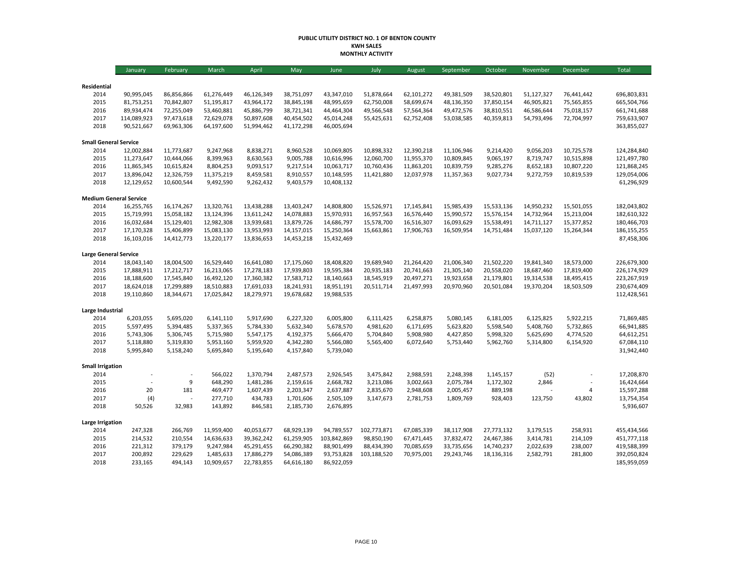#### **PUBLIC UTILITY DISTRICT NO. 1 OF BENTON COUNTY KWH SALES MONTHLY ACTIVITY**

|                                      | January                  | February                 | March                    | April                    | May                      | June                     | July                     | August                   | September                | October                  | November                 | December                 | Total                      |
|--------------------------------------|--------------------------|--------------------------|--------------------------|--------------------------|--------------------------|--------------------------|--------------------------|--------------------------|--------------------------|--------------------------|--------------------------|--------------------------|----------------------------|
|                                      |                          |                          |                          |                          |                          |                          |                          |                          |                          |                          |                          |                          |                            |
| Residential                          |                          |                          |                          |                          |                          |                          |                          |                          |                          |                          |                          |                          |                            |
| 2014<br>2015                         | 90,995,045               | 86,856,866               | 61,276,449               | 46,126,349               | 38,751,097               | 43,347,010               | 51,878,664               | 62,101,272<br>58,699,674 | 49,381,509               | 38,520,801               | 51,127,327               | 76,441,442               | 696,803,831                |
| 2016                                 | 81,753,251<br>89,934,474 | 70,842,807<br>72,255,049 | 51,195,817<br>53,460,881 | 43,964,172<br>45,886,799 | 38,845,198<br>38,721,341 | 48,995,659<br>44,464,304 | 62,750,008<br>49,566,548 | 57,564,364               | 48,136,350<br>49,472,576 | 37,850,154<br>38,810,551 | 46,905,821<br>46,586,644 | 75,565,855<br>75,018,157 | 665,504,766<br>661,741,688 |
| 2017                                 | 114,089,923              | 97,473,618               | 72,629,078               | 50,897,608               | 40,454,502               | 45,014,248               | 55,425,631               | 62,752,408               | 53,038,585               | 40,359,813               | 54,793,496               | 72,704,997               | 759,633,907                |
| 2018                                 | 90,521,667               | 69,963,306               | 64,197,600               | 51,994,462               | 41,172,298               | 46,005,694               |                          |                          |                          |                          |                          |                          | 363,855,027                |
|                                      |                          |                          |                          |                          |                          |                          |                          |                          |                          |                          |                          |                          |                            |
| <b>Small General Service</b><br>2014 | 12,002,884               | 11,773,687               | 9,247,968                | 8,838,271                | 8,960,528                | 10,069,805               | 10,898,332               | 12,390,218               | 11,106,946               | 9,214,420                | 9,056,203                | 10,725,578               | 124,284,840                |
| 2015                                 | 11,273,647               | 10,444,066               | 8,399,963                | 8,630,563                | 9,005,788                | 10,616,996               | 12,060,700               | 11,955,370               | 10,809,845               | 9,065,197                | 8,719,747                | 10,515,898               | 121,497,780                |
| 2016                                 | 11,865,345               | 10,615,824               | 8,804,253                | 9,093,517                | 9,217,514                | 10,063,717               | 10,760,436               | 11,863,201               | 10,839,759               | 9,285,276                | 8,652,183                | 10,807,220               | 121,868,245                |
| 2017                                 | 13,896,042               | 12,326,759               | 11,375,219               | 8,459,581                | 8,910,557                | 10,148,595               | 11,421,880               | 12,037,978               | 11,357,363               | 9,027,734                | 9,272,759                | 10,819,539               | 129,054,006                |
| 2018                                 | 12,129,652               | 10,600,544               | 9,492,590                | 9,262,432                | 9,403,579                | 10,408,132               |                          |                          |                          |                          |                          |                          | 61,296,929                 |
| <b>Medium General Service</b>        |                          |                          |                          |                          |                          |                          |                          |                          |                          |                          |                          |                          |                            |
| 2014                                 | 16,255,765               | 16,174,267               | 13,320,761               | 13,438,288               | 13,403,247               | 14,808,800               | 15,526,971               | 17,145,841               | 15,985,439               | 15,533,136               | 14,950,232               | 15,501,055               | 182,043,802                |
| 2015                                 | 15,719,991               | 15,058,182               | 13,124,396               | 13,611,242               | 14,078,883               | 15,970,931               | 16,957,563               | 16,576,440               | 15,990,572               | 15,576,154               | 14,732,964               | 15,213,004               | 182,610,322                |
| 2016                                 | 16,032,684               | 15,129,401               | 12,982,308               | 13,939,681               | 13,879,726               | 14,686,797               | 15,578,700               | 16,516,307               | 16,093,629               | 15,538,491               | 14,711,127               | 15,377,852               | 180,466,703                |
| 2017                                 | 17,170,328               | 15,406,899               | 15,083,130               | 13,953,993               | 14,157,015               | 15,250,364               | 15,663,861               | 17,906,763               | 16,509,954               | 14,751,484               | 15,037,120               | 15,264,344               | 186,155,255                |
| 2018                                 | 16,103,016               | 14,412,773               | 13,220,177               | 13,836,653               | 14,453,218               | 15,432,469               |                          |                          |                          |                          |                          |                          | 87,458,306                 |
| <b>Large General Service</b>         |                          |                          |                          |                          |                          |                          |                          |                          |                          |                          |                          |                          |                            |
| 2014                                 | 18,043,140               | 18,004,500               | 16,529,440               | 16,641,080               | 17,175,060               | 18,408,820               | 19,689,940               | 21,264,420               | 21,006,340               | 21,502,220               | 19,841,340               | 18,573,000               | 226,679,300                |
| 2015                                 | 17,888,911               | 17,212,717               | 16,213,065               | 17,278,183               | 17,939,803               | 19,595,384               | 20,935,183               | 20,741,663               | 21,305,140               | 20,558,020               | 18,687,460               | 17,819,400               | 226,174,929                |
| 2016                                 | 18,188,600               | 17,545,840               | 16,492,120               | 17,360,382               | 17,583,712               | 18,140,663               | 18,545,919               | 20,497,271               | 19,923,658               | 21,179,801               | 19,314,538               | 18,495,415               | 223,267,919                |
| 2017                                 | 18,624,018               | 17,299,889               | 18,510,883               | 17,691,033               | 18,241,931               | 18,951,191               | 20,511,714               | 21,497,993               | 20,970,960               | 20,501,084               | 19,370,204               | 18,503,509               | 230,674,409                |
| 2018                                 | 19,110,860               | 18,344,671               | 17,025,842               | 18,279,971               | 19,678,682               | 19,988,535               |                          |                          |                          |                          |                          |                          | 112,428,561                |
| Large Industrial                     |                          |                          |                          |                          |                          |                          |                          |                          |                          |                          |                          |                          |                            |
| 2014                                 | 6,203,055                | 5,695,020                | 6,141,110                | 5,917,690                | 6,227,320                | 6,005,800                | 6,111,425                | 6,258,875                | 5,080,145                | 6,181,005                | 6,125,825                | 5,922,215                | 71,869,485                 |
| 2015                                 | 5,597,495                | 5,394,485                | 5,337,365                | 5,784,330                | 5,632,340                | 5,678,570                | 4,981,620                | 6,171,695                | 5,623,820                | 5,598,540                | 5,408,760                | 5,732,865                | 66,941,885                 |
| 2016                                 | 5,743,306                | 5,306,745                | 5,715,980                | 5,547,175                | 4,192,375                | 5,666,470                | 5,704,840                | 5,908,980                | 4,427,850                | 5,998,320                | 5,625,690                | 4,774,520                | 64,612,251                 |
| 2017                                 | 5,118,880                | 5,319,830                | 5,953,160                | 5,959,920                | 4,342,280                | 5,566,080                | 5,565,400                | 6,072,640                | 5,753,440                | 5,962,760                | 5,314,800                | 6,154,920                | 67,084,110                 |
| 2018                                 | 5,995,840                | 5,158,240                | 5,695,840                | 5,195,640                | 4,157,840                | 5,739,040                |                          |                          |                          |                          |                          |                          | 31,942,440                 |
| <b>Small Irrigation</b>              |                          |                          |                          |                          |                          |                          |                          |                          |                          |                          |                          |                          |                            |
| 2014                                 |                          |                          | 566,022                  | 1,370,794                | 2,487,573                | 2,926,545                | 3,475,842                | 2,988,591                | 2,248,398                | 1,145,157                | (52)                     |                          | 17,208,870                 |
| 2015                                 |                          | 9                        | 648,290                  | 1,481,286                | 2,159,616                | 2,668,782                | 3,213,086                | 3,002,663                | 2,075,784                | 1,172,302                | 2,846                    |                          | 16,424,664                 |
| 2016                                 | 20                       | 181                      | 469,477                  | 1,607,439                | 2,203,347                | 2,637,887                | 2,835,670                | 2,948,608                | 2,005,457                | 889,198                  |                          | $\overline{4}$           | 15,597,288                 |
| 2017                                 | (4)                      |                          | 277,710                  | 434,783                  | 1,701,606                | 2,505,109                | 3,147,673                | 2,781,753                | 1,809,769                | 928,403                  | 123,750                  | 43,802                   | 13,754,354                 |
| 2018                                 | 50,526                   | 32,983                   | 143,892                  | 846,581                  | 2,185,730                | 2,676,895                |                          |                          |                          |                          |                          |                          | 5,936,607                  |
| Large Irrigation                     |                          |                          |                          |                          |                          |                          |                          |                          |                          |                          |                          |                          |                            |
| 2014                                 | 247,328                  | 266,769                  | 11,959,400               | 40,053,677               | 68,929,139               | 94,789,557               | 102,773,871              | 67,085,339               | 38,117,908               | 27,773,132               | 3,179,515                | 258,931                  | 455,434,566                |
| 2015                                 | 214,532                  | 210,554                  | 14,636,633               | 39,362,242               | 61,259,905               | 103,842,869              | 98,850,190               | 67,471,445               | 37,832,472               | 24,467,386               | 3,414,781                | 214,109                  | 451,777,118                |
| 2016                                 | 221,312                  | 379,179                  | 9,247,984                | 45,291,455               | 66,290,382               | 88,901,499               | 88,434,390               | 70,085,659               | 33,735,656               | 14,740,237               | 2,022,639                | 238,007                  | 419,588,399                |
| 2017                                 | 200,892                  | 229,629                  | 1,485,633                | 17,886,279               | 54,086,389               | 93,753,828               | 103,188,520              | 70,975,001               | 29,243,746               | 18,136,316               | 2,582,791                | 281,800                  | 392,050,824                |
| 2018                                 | 233,165                  | 494,143                  | 10,909,657               | 22,783,855               | 64,616,180               | 86,922,059               |                          |                          |                          |                          |                          |                          | 185,959,059                |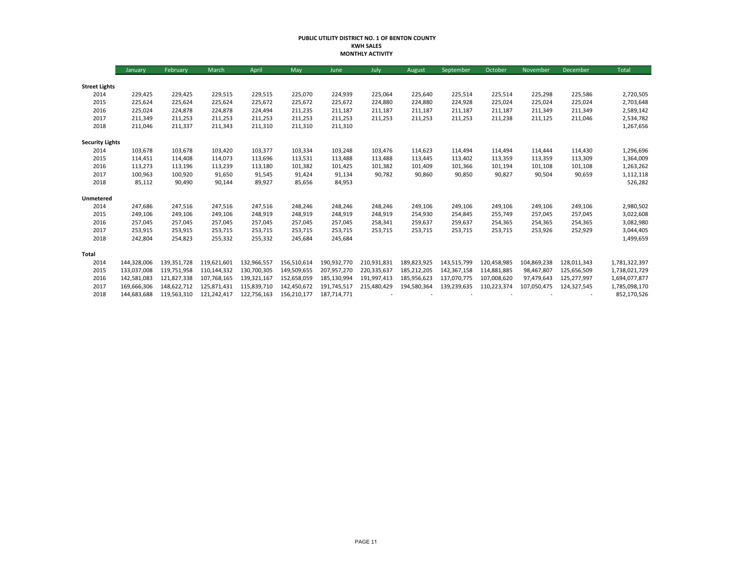#### **PUBLIC UTILITY DISTRICT NO. 1 OF BENTON COUNTY KWH SALES MONTHLY ACTIVITY**

|                        | January     | February    | <b>March</b> | April       | May         | June        | July        | August      | September   | October     | November    | December    | <b>Total</b>  |
|------------------------|-------------|-------------|--------------|-------------|-------------|-------------|-------------|-------------|-------------|-------------|-------------|-------------|---------------|
|                        |             |             |              |             |             |             |             |             |             |             |             |             |               |
| <b>Street Lights</b>   |             |             |              |             |             |             |             |             |             |             |             |             |               |
| 2014                   | 229,425     | 229,425     | 229,515      | 229,515     | 225,070     | 224,939     | 225,064     | 225,640     | 225,514     | 225,514     | 225,298     | 225,586     | 2,720,505     |
| 2015                   | 225,624     | 225,624     | 225,624      | 225,672     | 225,672     | 225,672     | 224,880     | 224,880     | 224,928     | 225,024     | 225,024     | 225,024     | 2,703,648     |
| 2016                   | 225,024     | 224,878     | 224,878      | 224,494     | 211,235     | 211,187     | 211,187     | 211,187     | 211,187     | 211,187     | 211,349     | 211,349     | 2,589,142     |
| 2017                   | 211,349     | 211,253     | 211,253      | 211,253     | 211,253     | 211,253     | 211,253     | 211,253     | 211,253     | 211,238     | 211,125     | 211,046     | 2,534,782     |
| 2018                   | 211,046     | 211,337     | 211,343      | 211,310     | 211,310     | 211,310     |             |             |             |             |             |             | 1,267,656     |
| <b>Security Lights</b> |             |             |              |             |             |             |             |             |             |             |             |             |               |
| 2014                   | 103,678     | 103,678     | 103,420      | 103,377     | 103,334     | 103,248     | 103,476     | 114,623     | 114,494     | 114.494     | 114,444     | 114,430     | 1,296,696     |
| 2015                   | 114,451     | 114,408     | 114,073      | 113,696     | 113,531     | 113,488     | 113,488     | 113,445     | 113,402     | 113,359     | 113,359     | 113,309     | 1,364,009     |
| 2016                   | 113,273     | 113,196     | 113,239      | 113,180     | 101,382     | 101,425     | 101,382     | 101,409     | 101,366     | 101,194     | 101,108     | 101,108     | 1,263,262     |
| 2017                   | 100,963     | 100,920     | 91,650       | 91,545      | 91,424      | 91,134      | 90,782      | 90,860      | 90,850      | 90,827      | 90,504      | 90,659      | 1,112,118     |
| 2018                   | 85,112      | 90,490      | 90,144       | 89,927      | 85,656      | 84,953      |             |             |             |             |             |             | 526,282       |
| Unmetered              |             |             |              |             |             |             |             |             |             |             |             |             |               |
| 2014                   | 247,686     | 247,516     | 247,516      | 247,516     | 248,246     | 248,246     | 248,246     | 249,106     | 249,106     | 249,106     | 249,106     | 249,106     | 2,980,502     |
| 2015                   | 249,106     | 249,106     | 249,106      | 248,919     | 248,919     | 248,919     | 248,919     | 254,930     | 254,845     | 255,749     | 257,045     | 257,045     | 3,022,608     |
| 2016                   | 257,045     | 257,045     | 257,045      | 257,045     | 257,045     | 257,045     | 258,341     | 259,637     | 259,637     | 254,365     | 254,365     | 254,365     | 3,082,980     |
| 2017                   | 253,915     | 253,915     | 253,715      | 253,715     | 253,715     | 253,715     | 253,715     | 253,715     | 253,715     | 253,715     | 253,926     | 252,929     | 3,044,405     |
| 2018                   | 242,804     | 254,823     | 255,332      | 255,332     | 245,684     | 245,684     |             |             |             |             |             |             | 1,499,659     |
| Total                  |             |             |              |             |             |             |             |             |             |             |             |             |               |
| 2014                   | 144,328,006 | 139,351,728 | 119,621,601  | 132,966,557 | 156,510,614 | 190,932,770 | 210,931,831 | 189.823.925 | 143,515,799 | 120,458,985 | 104,869,238 | 128,011,343 | 1,781,322,397 |
| 2015                   | 133,037,008 | 119,751,958 | 110.144.332  | 130,700,305 | 149,509,655 | 207,957,270 | 220,335,637 | 185,212,205 | 142.367.158 | 114,881,885 | 98,467,807  | 125,656,509 | 1,738,021,729 |
| 2016                   | 142,581,083 | 121,827,338 | 107,768,165  | 139,321,167 | 152,658,059 | 185,130,994 | 191,997,413 | 185,956,623 | 137,070,775 | 107,008,620 | 97,479,643  | 125,277,997 | 1,694,077,877 |
| 2017                   | 169,666,306 | 148,622,712 | 125,871,431  | 115,839,710 | 142,450,672 | 191,745,517 | 215,480,429 | 194,580,364 | 139,239,635 | 110,223,374 | 107,050,475 | 124,327,545 | 1,785,098,170 |
| 2018                   | 144,683,688 | 119,563,310 | 121,242,417  | 122,756,163 | 156,210,177 | 187,714,771 |             |             |             |             |             |             | 852,170,526   |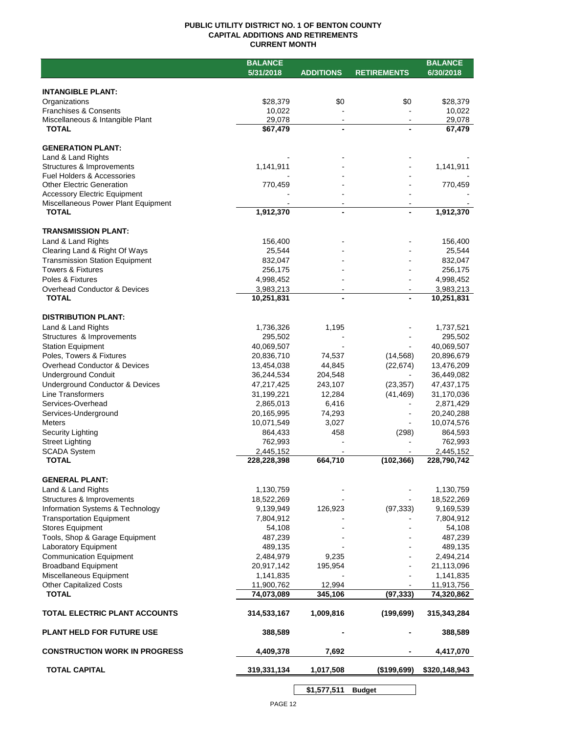## **PUBLIC UTILITY DISTRICT NO. 1 OF BENTON COUNTY CAPITAL ADDITIONS AND RETIREMENTS CURRENT MONTH**

|                                                                      | <b>BALANCE</b>           |                                            |                    | <b>BALANCE</b>           |
|----------------------------------------------------------------------|--------------------------|--------------------------------------------|--------------------|--------------------------|
|                                                                      | 5/31/2018                | <b>ADDITIONS</b>                           | <b>RETIREMENTS</b> | 6/30/2018                |
|                                                                      |                          |                                            |                    |                          |
| <b>INTANGIBLE PLANT:</b>                                             |                          |                                            |                    |                          |
| Organizations                                                        | \$28,379                 | \$0                                        | \$0                | \$28,379                 |
| <b>Franchises &amp; Consents</b><br>Miscellaneous & Intangible Plant | 10,022<br>29,078         | $\blacksquare$                             | $\sim$             | 10,022<br>29,078         |
| <b>TOTAL</b>                                                         | \$67,479                 |                                            |                    | 67,479                   |
|                                                                      |                          |                                            |                    |                          |
| <b>GENERATION PLANT:</b>                                             |                          |                                            |                    |                          |
| Land & Land Rights                                                   |                          |                                            |                    |                          |
| Structures & Improvements                                            | 1,141,911                |                                            |                    | 1,141,911                |
| Fuel Holders & Accessories                                           |                          |                                            |                    |                          |
| <b>Other Electric Generation</b>                                     | 770,459                  |                                            |                    | 770,459                  |
| <b>Accessory Electric Equipment</b>                                  |                          |                                            |                    |                          |
| Miscellaneous Power Plant Equipment<br><b>TOTAL</b>                  | 1,912,370                | $\overline{\phantom{a}}$<br>$\blacksquare$ |                    | 1,912,370                |
|                                                                      |                          |                                            |                    |                          |
| <b>TRANSMISSION PLANT:</b>                                           |                          |                                            |                    |                          |
| Land & Land Rights                                                   | 156,400                  |                                            |                    | 156,400                  |
| Clearing Land & Right Of Ways                                        | 25,544                   |                                            |                    | 25,544                   |
| <b>Transmission Station Equipment</b>                                | 832,047                  |                                            |                    | 832,047                  |
| <b>Towers &amp; Fixtures</b>                                         | 256,175                  |                                            |                    | 256,175                  |
| Poles & Fixtures                                                     | 4,998,452                |                                            |                    | 4,998,452                |
| Overhead Conductor & Devices                                         | 3,983,213                | $\blacksquare$                             |                    | 3,983,213                |
| <b>TOTAL</b>                                                         | 10,251,831               |                                            |                    | 10,251,831               |
|                                                                      |                          |                                            |                    |                          |
| <b>DISTRIBUTION PLANT:</b>                                           |                          |                                            |                    |                          |
| Land & Land Rights                                                   | 1,736,326                | 1,195                                      |                    | 1,737,521                |
| Structures & Improvements                                            | 295,502                  |                                            |                    | 295,502                  |
| <b>Station Equipment</b>                                             | 40,069,507               |                                            |                    | 40,069,507               |
| Poles, Towers & Fixtures                                             | 20,836,710               | 74,537                                     | (14, 568)          | 20,896,679               |
| Overhead Conductor & Devices                                         | 13,454,038               | 44,845                                     | (22, 674)          | 13,476,209               |
| <b>Underground Conduit</b><br>Underground Conductor & Devices        | 36,244,534<br>47,217,425 | 204,548<br>243,107                         | (23, 357)          | 36,449,082<br>47,437,175 |
| Line Transformers                                                    | 31,199,221               | 12,284                                     | (41, 469)          | 31,170,036               |
| Services-Overhead                                                    | 2,865,013                | 6,416                                      |                    | 2,871,429                |
| Services-Underground                                                 | 20,165,995               | 74,293                                     |                    | 20,240,288               |
| <b>Meters</b>                                                        | 10,071,549               | 3,027                                      |                    | 10,074,576               |
| Security Lighting                                                    | 864,433                  | 458                                        | (298)              | 864,593                  |
| <b>Street Lighting</b>                                               | 762,993                  |                                            |                    | 762,993                  |
| <b>SCADA System</b>                                                  | 2,445,152                |                                            |                    | 2,445,152                |
| <b>TOTAL</b>                                                         | 228,228,398              | 664,710                                    | (102, 366)         | 228,790,742              |
|                                                                      |                          |                                            |                    |                          |
| <b>GENERAL PLANT:</b>                                                |                          |                                            |                    |                          |
| Land & Land Rights                                                   | 1,130,759                |                                            |                    | 1,130,759                |
| Structures & Improvements                                            | 18,522,269               |                                            |                    | 18,522,269               |
| Information Systems & Technology                                     | 9,139,949                | 126,923                                    | (97, 333)          | 9,169,539                |
| <b>Transportation Equipment</b>                                      | 7,804,912                |                                            |                    | 7,804,912                |
| <b>Stores Equipment</b>                                              | 54,108<br>487,239        |                                            |                    | 54,108<br>487,239        |
| Tools, Shop & Garage Equipment<br>Laboratory Equipment               | 489,135                  |                                            |                    | 489,135                  |
| <b>Communication Equipment</b>                                       | 2,484,979                | 9,235                                      |                    | 2,494,214                |
| <b>Broadband Equipment</b>                                           | 20,917,142               | 195,954                                    |                    | 21,113,096               |
| Miscellaneous Equipment                                              | 1,141,835                |                                            |                    | 1,141,835                |
| <b>Other Capitalized Costs</b>                                       | 11,900,762               | 12,994                                     |                    | 11,913,756               |
| <b>TOTAL</b>                                                         | 74,073,089               | 345,106                                    | (97, 333)          | 74,320,862               |
|                                                                      |                          |                                            |                    |                          |
| TOTAL ELECTRIC PLANT ACCOUNTS                                        | 314,533,167              | 1,009,816                                  | (199, 699)         | 315,343,284              |
| <b>PLANT HELD FOR FUTURE USE</b>                                     | 388,589                  |                                            |                    | 388,589                  |
|                                                                      |                          |                                            |                    |                          |
| <b>CONSTRUCTION WORK IN PROGRESS</b>                                 | 4,409,378                | 7,692                                      |                    | 4,417,070                |
| <b>TOTAL CAPITAL</b>                                                 | 319,331,134              | 1,017,508                                  | ( \$199, 699)      | \$320,148,943            |
|                                                                      |                          | \$1,577,511                                | <b>Budget</b>      |                          |

 $\overline{\phantom{a}}$ PAGE 12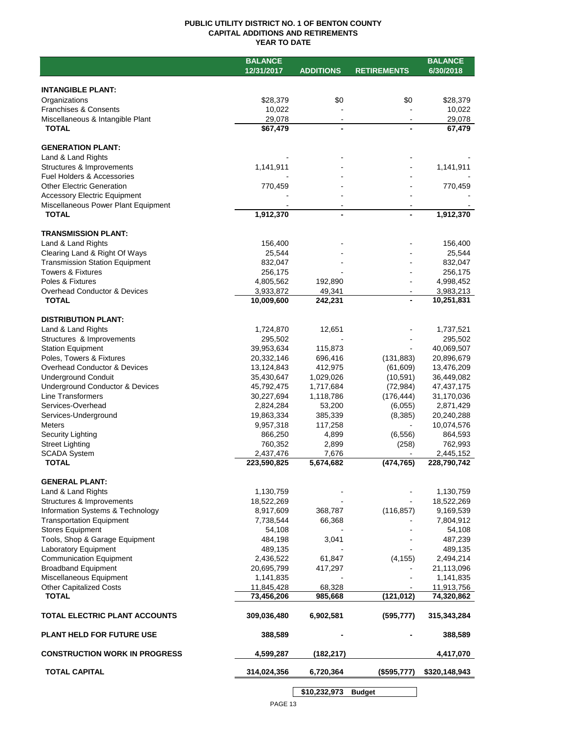## **PUBLIC UTILITY DISTRICT NO. 1 OF BENTON COUNTY CAPITAL ADDITIONS AND RETIREMENTS YEAR TO DATE**

|                                       | <b>BALANCE</b> |                  |                    | <b>BALANCE</b> |
|---------------------------------------|----------------|------------------|--------------------|----------------|
|                                       | 12/31/2017     | <b>ADDITIONS</b> | <b>RETIREMENTS</b> | 6/30/2018      |
|                                       |                |                  |                    |                |
| <b>INTANGIBLE PLANT:</b>              |                |                  |                    |                |
| Organizations                         | \$28,379       | \$0              | \$0                | \$28,379       |
| <b>Franchises &amp; Consents</b>      | 10,022         |                  |                    | 10,022         |
| Miscellaneous & Intangible Plant      | 29,078         | $\blacksquare$   |                    | 29,078         |
| <b>TOTAL</b>                          | \$67,479       | $\blacksquare$   |                    | 67,479         |
|                                       |                |                  |                    |                |
| <b>GENERATION PLANT:</b>              |                |                  |                    |                |
| Land & Land Rights                    |                |                  |                    |                |
| Structures & Improvements             | 1,141,911      |                  |                    | 1,141,911      |
| <b>Fuel Holders &amp; Accessories</b> |                |                  |                    |                |
| <b>Other Electric Generation</b>      | 770,459        |                  |                    | 770,459        |
| <b>Accessory Electric Equipment</b>   |                |                  |                    |                |
| Miscellaneous Power Plant Equipment   |                |                  |                    |                |
| <b>TOTAL</b>                          | 1,912,370      | $\blacksquare$   |                    | 1,912,370      |
|                                       |                |                  |                    |                |
| <b>TRANSMISSION PLANT:</b>            |                |                  |                    |                |
| Land & Land Rights                    | 156,400        |                  |                    | 156,400        |
| Clearing Land & Right Of Ways         | 25,544         |                  |                    | 25,544         |
| <b>Transmission Station Equipment</b> | 832,047        |                  |                    | 832,047        |
| <b>Towers &amp; Fixtures</b>          | 256,175        |                  |                    | 256,175        |
| Poles & Fixtures                      | 4,805,562      | 192,890          |                    | 4,998,452      |
| Overhead Conductor & Devices          | 3,933,872      | 49,341           |                    | 3,983,213      |
| <b>TOTAL</b>                          | 10,009,600     | 242,231          |                    | 10,251,831     |
|                                       |                |                  |                    |                |
| <b>DISTRIBUTION PLANT:</b>            |                |                  |                    |                |
| Land & Land Rights                    | 1,724,870      | 12,651           |                    | 1,737,521      |
| Structures & Improvements             | 295,502        |                  |                    | 295,502        |
| <b>Station Equipment</b>              | 39,953,634     | 115,873          |                    | 40,069,507     |
| Poles, Towers & Fixtures              | 20,332,146     | 696,416          | (131, 883)         | 20,896,679     |
| Overhead Conductor & Devices          | 13,124,843     | 412,975          | (61,609)           | 13,476,209     |
| <b>Underground Conduit</b>            | 35,430,647     | 1,029,026        | (10, 591)          | 36,449,082     |
| Underground Conductor & Devices       | 45,792,475     | 1,717,684        | (72, 984)          | 47, 437, 175   |
| Line Transformers                     | 30,227,694     | 1,118,786        | (176, 444)         | 31,170,036     |
| Services-Overhead                     | 2,824,284      | 53,200           | (6,055)            | 2,871,429      |
| Services-Underground                  | 19,863,334     | 385,339          | (8,385)            | 20,240,288     |
| <b>Meters</b>                         | 9,957,318      | 117,258          | $\blacksquare$     | 10,074,576     |
| Security Lighting                     | 866,250        | 4,899            | (6, 556)           | 864,593        |
| <b>Street Lighting</b>                | 760,352        | 2,899            | (258)              | 762,993        |
| <b>SCADA System</b>                   | 2,437,476      | 7,676            |                    | 2,445,152      |
| <b>TOTAL</b>                          | 223,590,825    | 5,674,682        | (474, 765)         | 228,790,742    |
|                                       |                |                  |                    |                |
| <b>GENERAL PLANT:</b>                 |                |                  |                    |                |
| Land & Land Rights                    | 1,130,759      |                  |                    | 1,130,759      |
| Structures & Improvements             | 18,522,269     |                  |                    | 18,522,269     |
| Information Systems & Technology      | 8,917,609      | 368,787          | (116, 857)         | 9,169,539      |
| <b>Transportation Equipment</b>       | 7,738,544      | 66,368           |                    | 7,804,912      |
| <b>Stores Equipment</b>               | 54,108         |                  |                    | 54,108         |
| Tools, Shop & Garage Equipment        | 484,198        | 3,041            |                    | 487,239        |
| Laboratory Equipment                  | 489,135        |                  |                    | 489,135        |
| <b>Communication Equipment</b>        | 2,436,522      | 61,847           | (4, 155)           | 2,494,214      |
| <b>Broadband Equipment</b>            | 20,695,799     | 417,297          |                    | 21,113,096     |
| Miscellaneous Equipment               | 1,141,835      |                  |                    | 1,141,835      |
| <b>Other Capitalized Costs</b>        | 11,845,428     | 68,328           |                    | 11,913,756     |
| <b>TOTAL</b>                          | 73,456,206     | 985,668          | (121, 012)         | 74,320,862     |
|                                       |                |                  |                    |                |
| TOTAL ELECTRIC PLANT ACCOUNTS         | 309,036,480    | 6,902,581        | (595, 777)         | 315,343,284    |
|                                       |                |                  |                    |                |
| <b>PLANT HELD FOR FUTURE USE</b>      | 388,589        |                  |                    | 388,589        |
|                                       |                |                  |                    |                |
| <b>CONSTRUCTION WORK IN PROGRESS</b>  | 4,599,287      | (182, 217)       |                    | 4,417,070      |
| <b>TOTAL CAPITAL</b>                  | 314,024,356    | 6,720,364        | (\$595,777)        | \$320,148,943  |
|                                       |                |                  |                    |                |
|                                       |                |                  |                    |                |

**\$10,232,973 Budget**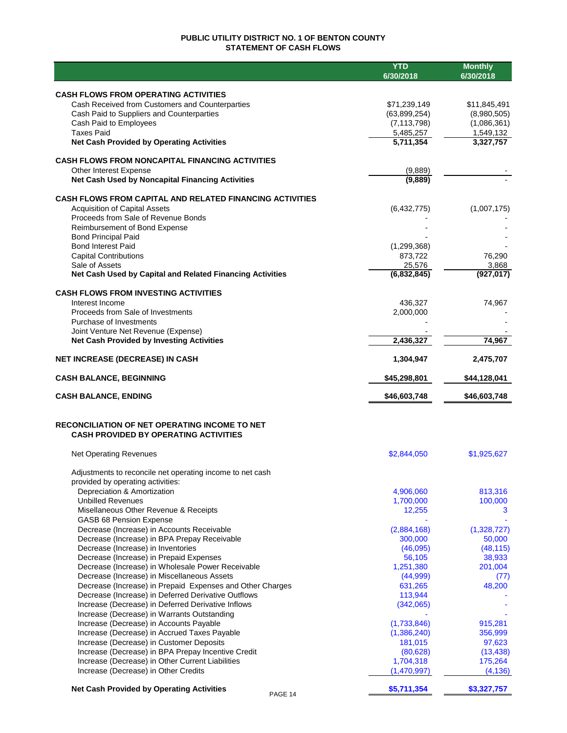## **PUBLIC UTILITY DISTRICT NO. 1 OF BENTON COUNTY STATEMENT OF CASH FLOWS**

|                                                                                               | <b>YTD</b><br>6/30/2018       | <b>Monthly</b><br>6/30/2018 |
|-----------------------------------------------------------------------------------------------|-------------------------------|-----------------------------|
|                                                                                               |                               |                             |
| <b>CASH FLOWS FROM OPERATING ACTIVITIES</b>                                                   |                               |                             |
| Cash Received from Customers and Counterparties                                               | \$71,239,149                  | \$11,845,491                |
| Cash Paid to Suppliers and Counterparties<br>Cash Paid to Employees                           | (63,899,254)<br>(7, 113, 798) | (8,980,505)<br>(1,086,361)  |
| <b>Taxes Paid</b>                                                                             | 5,485,257                     | 1,549,132                   |
| <b>Net Cash Provided by Operating Activities</b>                                              | 5,711,354                     | 3,327,757                   |
| <b>CASH FLOWS FROM NONCAPITAL FINANCING ACTIVITIES</b>                                        |                               |                             |
| Other Interest Expense                                                                        | (9,889)                       |                             |
| Net Cash Used by Noncapital Financing Activities                                              | (9,889)                       |                             |
|                                                                                               |                               |                             |
| <b>CASH FLOWS FROM CAPITAL AND RELATED FINANCING ACTIVITIES</b>                               |                               |                             |
| <b>Acquisition of Capital Assets</b><br>Proceeds from Sale of Revenue Bonds                   | (6,432,775)                   | (1,007,175)                 |
| Reimbursement of Bond Expense                                                                 |                               |                             |
| <b>Bond Principal Paid</b>                                                                    |                               |                             |
| <b>Bond Interest Paid</b>                                                                     | (1, 299, 368)                 |                             |
| <b>Capital Contributions</b>                                                                  | 873,722                       | 76,290                      |
| Sale of Assets                                                                                | 25,576                        | 3,868                       |
| Net Cash Used by Capital and Related Financing Activities                                     | (6,832,845)                   | (927, 017)                  |
| <b>CASH FLOWS FROM INVESTING ACTIVITIES</b>                                                   |                               |                             |
| Interest Income                                                                               | 436,327                       | 74,967                      |
| Proceeds from Sale of Investments                                                             | 2,000,000                     |                             |
| Purchase of Investments                                                                       |                               |                             |
| Joint Venture Net Revenue (Expense)                                                           |                               |                             |
| <b>Net Cash Provided by Investing Activities</b>                                              | 2,436,327                     | 74,967                      |
| <b>NET INCREASE (DECREASE) IN CASH</b>                                                        | 1,304,947                     | 2,475,707                   |
| <b>CASH BALANCE, BEGINNING</b>                                                                | \$45,298,801                  | \$44,128,041                |
| <b>CASH BALANCE, ENDING</b>                                                                   | \$46,603,748                  | \$46,603,748                |
| RECONCILIATION OF NET OPERATING INCOME TO NET<br><b>CASH PROVIDED BY OPERATING ACTIVITIES</b> |                               |                             |
| <b>Net Operating Revenues</b>                                                                 | \$2,844,050                   | \$1,925,627                 |
| Adjustments to reconcile net operating income to net cash                                     |                               |                             |
| provided by operating activities:                                                             |                               |                             |
| Depreciation & Amortization                                                                   | 4,906,060                     | 813,316                     |
| <b>Unbilled Revenues</b>                                                                      | 1,700,000                     | 100,000                     |
| Misellaneous Other Revenue & Receipts                                                         | 12,255                        | 3                           |
| GASB 68 Pension Expense                                                                       |                               |                             |
| Decrease (Increase) in Accounts Receivable                                                    | (2,884,168)                   | (1,328,727)                 |
| Decrease (Increase) in BPA Prepay Receivable<br>Decrease (Increase) in Inventories            | 300,000<br>(46,095)           | 50,000<br>(48, 115)         |
| Decrease (Increase) in Prepaid Expenses                                                       | 56,105                        | 38,933                      |
| Decrease (Increase) in Wholesale Power Receivable                                             | 1,251,380                     | 201,004                     |
| Decrease (Increase) in Miscellaneous Assets                                                   | (44,999)                      | (77)                        |
| Decrease (Increase) in Prepaid Expenses and Other Charges                                     | 631,265                       | 48,200                      |
| Decrease (Increase) in Deferred Derivative Outflows                                           | 113,944                       |                             |
| Increase (Decrease) in Deferred Derivative Inflows                                            | (342,065)                     |                             |
| Increase (Decrease) in Warrants Outstanding                                                   |                               |                             |
| Increase (Decrease) in Accounts Payable                                                       | (1,733,846)                   | 915,281                     |
| Increase (Decrease) in Accrued Taxes Payable                                                  | (1,386,240)                   | 356,999                     |
| Increase (Decrease) in Customer Deposits                                                      | 181,015                       | 97,623                      |
| Increase (Decrease) in BPA Prepay Incentive Credit                                            | (80, 628)                     | (13, 438)                   |
| Increase (Decrease) in Other Current Liabilities<br>Increase (Decrease) in Other Credits      | 1,704,318<br>(1,470,997)      | 175,264<br>(4, 136)         |
|                                                                                               |                               |                             |
| <b>Net Cash Provided by Operating Activities</b><br>PAGE 14                                   | \$5,711,354                   | \$3,327,757                 |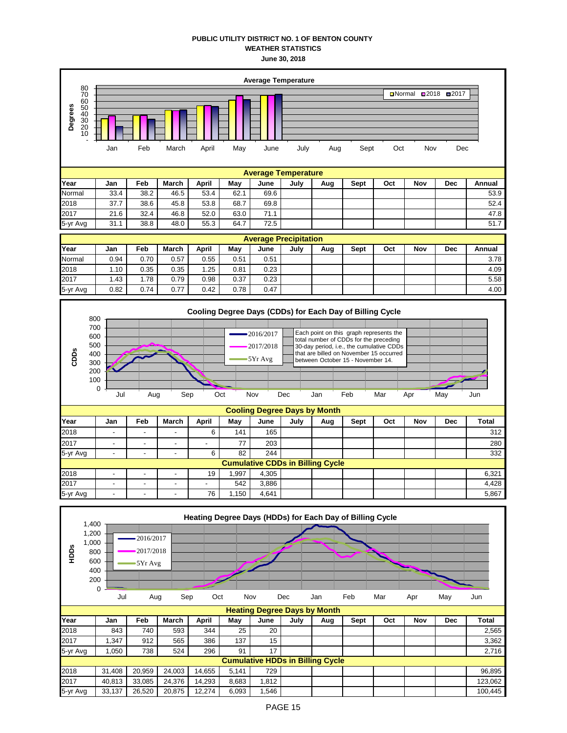## **PUBLIC UTILITY DISTRICT NO. 1 OF BENTON COUNTY WEATHER STATISTICS June 30, 2018**



|          | 0      |        |        |        |       |       |            |                                         |      |     |     |            |              |
|----------|--------|--------|--------|--------|-------|-------|------------|-----------------------------------------|------|-----|-----|------------|--------------|
|          | Jul    | Aug    | Sep    | Oct    |       | Nov   | <b>Dec</b> | Jan                                     | Feb  | Mar | Apr | May        | Jun          |
|          |        |        |        |        |       |       |            | <b>Heating Degree Days by Month</b>     |      |     |     |            |              |
| Year     | Jan    | Feb    | March  | April  | May   | June  | July       | Aug                                     | Sept | Oct | Nov | <b>Dec</b> | <b>Total</b> |
| 2018     | 843    | 740    | 593    | 344    | 25    | 20    |            |                                         |      |     |     |            | 2,565        |
| 2017     | 347    | 912    | 565    | 386    | 137   | 15    |            |                                         |      |     |     |            | 3,362        |
| 5-yr Avg | 1,050  | 738    | 524    | 296    | 91    | 17    |            |                                         |      |     |     |            | 2.716        |
|          |        |        |        |        |       |       |            | <b>Cumulative HDDs in Billing Cycle</b> |      |     |     |            |              |
| 2018     | 31,408 | 20.959 | 24,003 | 14.655 | 5.141 | 729   |            |                                         |      |     |     |            | 96,895       |
| 2017     | 40,813 | 33.085 | 24,376 | 14,293 | 8,683 | 1,812 |            |                                         |      |     |     |            | 123.062      |
| 5-yr Avg | 33,137 | 26,520 | 20.875 | 12,274 | 6.093 | 1.546 |            |                                         |      |     |     |            | 100.445      |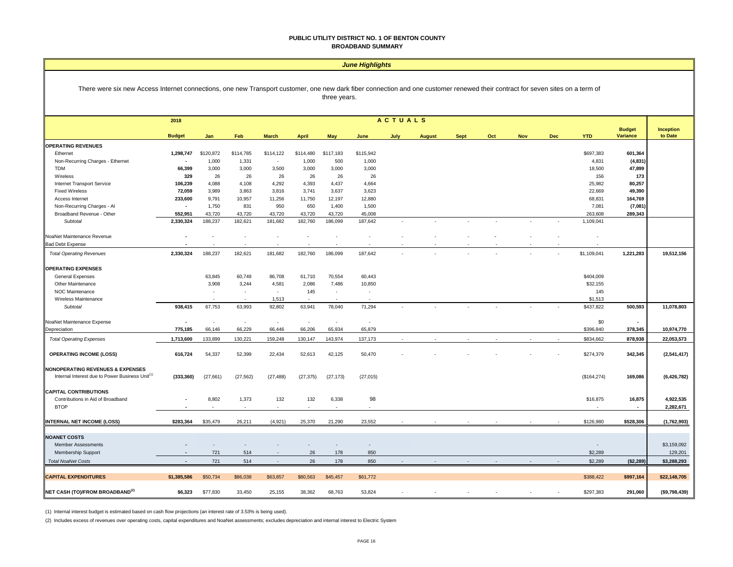#### **PUBLIC UTILITY DISTRICT NO. 1 OF BENTON COUNTY BROADBAND SUMMARY**

#### *June Highlights*

#### There were six new Access Internet connections, one new Transport customer, one new dark fiber connection and one customer renewed their contract for seven sites on a term of three years.

|                                                             | <b>ACTUALS</b><br>2018 |                          |                          |                          |              |            |           |      |               |             |     |            |            |              |                           |                      |
|-------------------------------------------------------------|------------------------|--------------------------|--------------------------|--------------------------|--------------|------------|-----------|------|---------------|-------------|-----|------------|------------|--------------|---------------------------|----------------------|
|                                                             | <b>Budget</b>          | Jan                      | Feb                      | <b>March</b>             | <b>April</b> | <b>May</b> | June      | July | <b>August</b> | <b>Sept</b> | Oct | <b>Nov</b> | <b>Dec</b> | <b>YTD</b>   | <b>Budget</b><br>Variance | Inception<br>to Date |
| <b>OPERATING REVENUES</b>                                   |                        |                          |                          |                          |              |            |           |      |               |             |     |            |            |              |                           |                      |
| Ethernet                                                    | 1,298,747              | \$120,872                | \$114,785                | \$114,122                | \$114,480    | \$117,183  | \$115,942 |      |               |             |     |            |            | \$697,383    | 601,364                   |                      |
| Non-Recurring Charges - Ethernet                            | $\overline{a}$         | 1,000                    | 1,331                    | $\sim$                   | 1,000        | 500        | 1,000     |      |               |             |     |            |            | 4,831        | (4, 831)                  |                      |
| TDM                                                         | 66,399                 | 3,000                    | 3,000                    | 3,500                    | 3,000        | 3,000      | 3,000     |      |               |             |     |            |            | 18,500       | 47,899                    |                      |
| Wireless                                                    | 329                    | 26                       | 26                       | 26                       | 26           | 26         | 26        |      |               |             |     |            |            | 156          | 173                       |                      |
| <b>Internet Transport Service</b>                           | 106,239                | 4,088                    | 4,108                    | 4,292                    | 4,393        | 4,437      | 4,664     |      |               |             |     |            |            | 25,982       | 80,257                    |                      |
| <b>Fixed Wireless</b>                                       | 72,059                 | 3,989                    | 3,863                    | 3,816                    | 3,741        | 3,637      | 3,623     |      |               |             |     |            |            | 22,669       | 49,390                    |                      |
| Access Internet                                             | 233,600                | 9,791                    | 10,957                   | 11,256                   | 11,750       | 12,197     | 12,880    |      |               |             |     |            |            | 68,831       | 164,769                   |                      |
| Non-Recurring Charges - Al                                  | $\blacksquare$         | 1,750                    | 831                      | 950                      | 650          | 1,400      | 1,500     |      |               |             |     |            |            | 7,081        | (7,081)                   |                      |
| Broadband Revenue - Other                                   | 552,951                | 43,720                   | 43,720                   | 43,720                   | 43,720       | 43,720     | 45,008    |      |               |             |     |            |            | 263,608      | 289,343                   |                      |
| Subtotal                                                    | 2,330,324              | 188,237                  | 182,621                  | 181,682                  | 182,760      | 186,099    | 187,642   |      |               |             |     |            |            | 1,109,041    |                           |                      |
| NoaNet Maintenance Revenue                                  |                        |                          |                          |                          |              |            |           |      |               |             |     |            |            |              |                           |                      |
| <b>Bad Debt Expense</b>                                     |                        |                          |                          |                          |              |            |           |      |               |             |     |            |            |              |                           |                      |
| <b>Total Operating Revenues</b>                             | 2,330,324              | 188,237                  | 182,621                  | 181,682                  | 182,760      | 186,099    | 187,642   |      |               |             |     |            |            | \$1,109,041  | 1,221,283                 | 19,512,156           |
| <b>OPERATING EXPENSES</b>                                   |                        |                          |                          |                          |              |            |           |      |               |             |     |            |            |              |                           |                      |
| <b>General Expenses</b>                                     |                        | 63,845                   | 60,749                   | 86,708                   | 61,710       | 70,554     | 60,443    |      |               |             |     |            |            | \$404,009    |                           |                      |
| Other Maintenance                                           |                        | 3,908                    | 3,244                    | 4,581                    | 2,086        | 7,486      | 10,850    |      |               |             |     |            |            | \$32,155     |                           |                      |
| NOC Maintenance                                             |                        |                          | $\overline{\phantom{a}}$ | $\sim$                   | 145          | $\sim$     | $\sim$    |      |               |             |     |            |            | 145          |                           |                      |
| Wireless Maintenance                                        |                        |                          |                          | 1,513                    |              |            |           |      |               |             |     |            |            | \$1,513      |                           |                      |
| Subtotal                                                    | 938,415                | 67,753                   | 63,993                   | 92,802                   | 63,941       | 78,040     | 71,294    |      |               |             |     |            |            | \$437,822    | 500,593                   | 11,078,803           |
| NoaNet Maintenance Expense                                  |                        | $\overline{\phantom{a}}$ | $\overline{\phantom{a}}$ | ۰.                       | $\sim$       | $\sim$     | $\sim$    |      |               |             |     |            |            | \$0          | $\sim$                    |                      |
| Depreciation                                                | 775,185                | 66,146                   | 66,229                   | 66,446                   | 66,206       | 65,934     | 65,879    |      |               |             |     |            |            | \$396,840    | 378,345                   | 10,974,770           |
| <b>Total Operating Expenses</b>                             | 1,713,600              | 133,899                  | 130,221                  | 159,248                  | 130,147      | 143,974    | 137,173   |      |               |             |     |            |            | \$834,662    | 878,938                   | 22,053,573           |
| <b>OPERATING INCOME (LOSS)</b>                              | 616,724                | 54,337                   | 52,399                   | 22,434                   | 52,613       | 42,125     | 50,470    |      |               |             |     |            |            | \$274,379    | 342,345                   | (2,541,417)          |
| <b>NONOPERATING REVENUES &amp; EXPENSES</b>                 |                        |                          |                          |                          |              |            |           |      |               |             |     |            |            |              |                           |                      |
| Internal Interest due to Power Business Unit <sup>(1)</sup> | (333, 360)             | (27, 661)                | (27, 562)                | (27, 488)                | (27, 375)    | (27, 173)  | (27, 015) |      |               |             |     |            |            | (\$164, 274) | 169,086                   | (6, 426, 782)        |
| <b>CAPITAL CONTRIBUTIONS</b>                                |                        |                          |                          |                          |              |            |           |      |               |             |     |            |            |              |                           |                      |
| Contributions in Aid of Broadband                           |                        | 8,802                    | 1,373                    | 132                      | 132          | 6,338      | 98        |      |               |             |     |            |            | \$16,875     | 16,875                    | 4,922,535            |
| <b>BTOP</b>                                                 |                        |                          | $\sim$                   | $\sim$                   | $\sim$       |            |           |      |               |             |     |            |            |              | $\sim$                    | 2,282,671            |
| <b>INTERNAL NET INCOME (LOSS)</b>                           | \$283,364              | \$35,479                 | 26,211                   | (4,921)                  | 25,370       | 21,290     | 23,552    |      |               |             |     |            |            | \$126,980    | \$528,306                 | (1,762,993)          |
| <b>NOANET COSTS</b>                                         |                        |                          |                          |                          |              |            |           |      |               |             |     |            |            |              |                           |                      |
| <b>Member Assessments</b>                                   |                        |                          |                          |                          |              |            | $\sim$    |      |               |             |     |            |            |              |                           | \$3,159,092          |
| Membership Support                                          |                        | 721                      | 514                      |                          | 26           | 178        | 850       |      |               |             |     |            |            | \$2,289      |                           | 129,201              |
| <b>Total NoaNet Costs</b>                                   |                        | 721                      | 514                      | $\overline{\phantom{a}}$ | 26           | 178        | 850       |      |               |             |     |            |            | \$2,289      | (\$2,289)                 | \$3,288,293          |
|                                                             |                        |                          |                          |                          |              |            |           |      |               |             |     |            |            |              |                           |                      |
| <b>CAPITAL EXPENDITURES</b>                                 | \$1,385,586            | \$50,734                 | \$86,038                 | \$63,857                 | \$80,563     | \$45,457   | \$61,772  |      |               |             |     |            |            | \$388,422    | \$997,164                 | \$22,148,705         |
| NET CASH (TO)/FROM BROADBAND <sup>(2)</sup>                 | \$6,323                | \$77,830                 | 33,450                   | 25,155                   | 38,362       | 68,763     | 53,824    |      |               |             |     |            |            | \$297,383    | 291,060                   | ( \$9,798,439)       |

(1) Internal interest budget is estimated based on cash flow projections (an interest rate of 3.53% is being used).

(2) Includes excess of revenues over operating costs, capital expenditures and NoaNet assessments; excludes depreciation and internal interest to Electric System